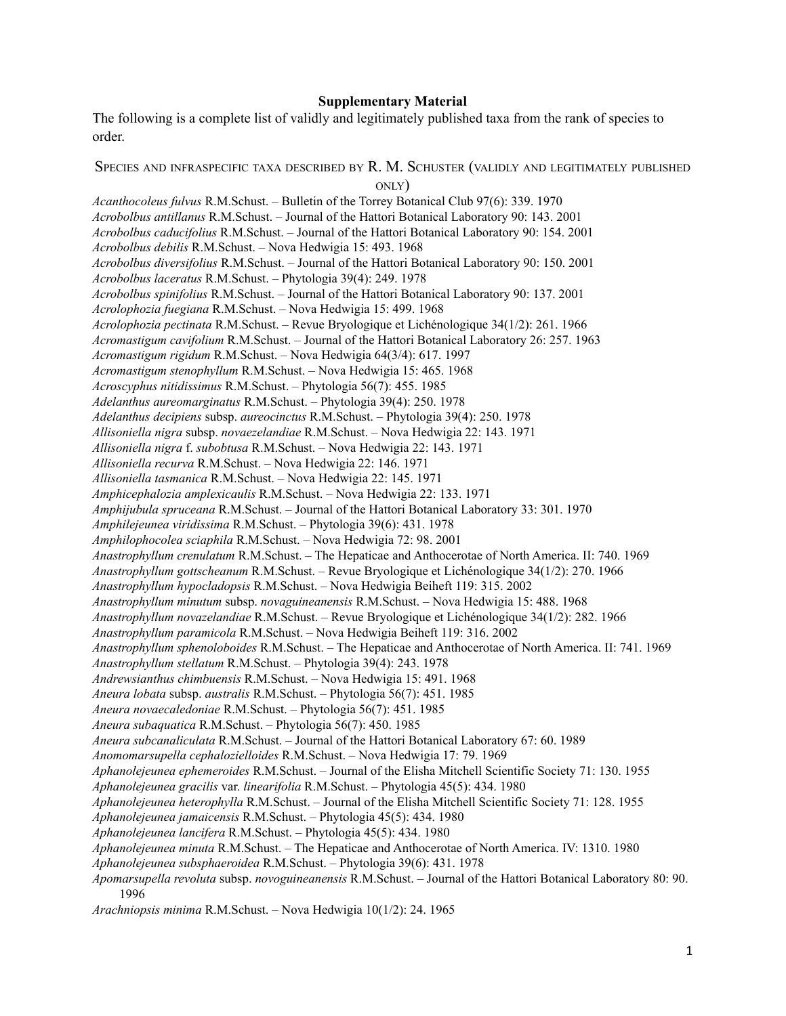## **Supplementary Material**

The following is a complete list of validly and legitimately published taxa from the rank of species to order.

SPECIES AND INFRASPECIFIC TAXA DESCRIBED BY R. M. SCHUSTER (VALIDLY AND LEGITIMATELY PUBLISHED ONLY) *Acanthocoleus fulvus* R.M.Schust. – Bulletin of the Torrey Botanical Club 97(6): 339. 1970 *Acrobolbus antillanus* R.M.Schust. – Journal of the Hattori Botanical Laboratory 90: 143. 2001 *Acrobolbus caducifolius* R.M.Schust. – Journal of the Hattori Botanical Laboratory 90: 154. 2001 *Acrobolbus debilis* R.M.Schust. – Nova Hedwigia 15: 493. 1968 *Acrobolbus diversifolius* R.M.Schust. – Journal of the Hattori Botanical Laboratory 90: 150. 2001 *Acrobolbus laceratus* R.M.Schust. – Phytologia 39(4): 249. 1978 *Acrobolbus spinifolius* R.M.Schust. – Journal of the Hattori Botanical Laboratory 90: 137. 2001 *Acrolophozia fuegiana* R.M.Schust. – Nova Hedwigia 15: 499. 1968 *Acrolophozia pectinata* R.M.Schust. – Revue Bryologique et Lichénologique 34(1/2): 261. 1966 *Acromastigum cavifolium* R.M.Schust. – Journal of the Hattori Botanical Laboratory 26: 257. 1963 *Acromastigum rigidum* R.M.Schust. – Nova Hedwigia 64(3/4): 617. 1997 *Acromastigum stenophyllum* R.M.Schust. – Nova Hedwigia 15: 465. 1968 *Acroscyphus nitidissimus* R.M.Schust. – Phytologia 56(7): 455. 1985 *Adelanthus aureomarginatus* R.M.Schust. – Phytologia 39(4): 250. 1978 *Adelanthus decipiens* subsp. *aureocinctus* R.M.Schust. – Phytologia 39(4): 250. 1978 *Allisoniella nigra* subsp. *novaezelandiae* R.M.Schust. – Nova Hedwigia 22: 143. 1971 *Allisoniella nigra* f. *subobtusa* R.M.Schust. – Nova Hedwigia 22: 143. 1971 *Allisoniella recurva* R.M.Schust. – Nova Hedwigia 22: 146. 1971 *Allisoniella tasmanica* R.M.Schust. – Nova Hedwigia 22: 145. 1971 *Amphicephalozia amplexicaulis* R.M.Schust. – Nova Hedwigia 22: 133. 1971 *Amphijubula spruceana* R.M.Schust. – Journal of the Hattori Botanical Laboratory 33: 301. 1970 *Amphilejeunea viridissima* R.M.Schust. – Phytologia 39(6): 431. 1978 *Amphilophocolea sciaphila* R.M.Schust. – Nova Hedwigia 72: 98. 2001 *Anastrophyllum crenulatum* R.M.Schust. – The Hepaticae and Anthocerotae of North America. II: 740. 1969 *Anastrophyllum gottscheanum* R.M.Schust. – Revue Bryologique et Lichénologique 34(1/2): 270. 1966 *Anastrophyllum hypocladopsis* R.M.Schust. – Nova Hedwigia Beiheft 119: 315. 2002 *Anastrophyllum minutum* subsp. *novaguineanensis* R.M.Schust. – Nova Hedwigia 15: 488. 1968 *Anastrophyllum novazelandiae* R.M.Schust. – Revue Bryologique et Lichénologique 34(1/2): 282. 1966 *Anastrophyllum paramicola* R.M.Schust. – Nova Hedwigia Beiheft 119: 316. 2002 *Anastrophyllum sphenoloboides* R.M.Schust. – The Hepaticae and Anthocerotae of North America. II: 741. 1969 *Anastrophyllum stellatum* R.M.Schust. – Phytologia 39(4): 243. 1978 *Andrewsianthus chimbuensis* R.M.Schust. – Nova Hedwigia 15: 491. 1968 *Aneura lobata* subsp. *australis* R.M.Schust. – Phytologia 56(7): 451. 1985 *Aneura novaecaledoniae* R.M.Schust. – Phytologia 56(7): 451. 1985 *Aneura subaquatica* R.M.Schust. – Phytologia 56(7): 450. 1985 *Aneura subcanaliculata* R.M.Schust. – Journal of the Hattori Botanical Laboratory 67: 60. 1989 *Anomomarsupella cephalozielloides* R.M.Schust. – Nova Hedwigia 17: 79. 1969 *Aphanolejeunea ephemeroides* R.M.Schust. – Journal of the Elisha Mitchell Scientific Society 71: 130. 1955 *Aphanolejeunea gracilis* var. *linearifolia* R.M.Schust. – Phytologia 45(5): 434. 1980 *Aphanolejeunea heterophylla* R.M.Schust. – Journal of the Elisha Mitchell Scientific Society 71: 128. 1955 *Aphanolejeunea jamaicensis* R.M.Schust. – Phytologia 45(5): 434. 1980 *Aphanolejeunea lancifera* R.M.Schust. – Phytologia 45(5): 434. 1980 *Aphanolejeunea minuta* R.M.Schust. – The Hepaticae and Anthocerotae of North America. IV: 1310. 1980 *Aphanolejeunea subsphaeroidea* R.M.Schust. – Phytologia 39(6): 431. 1978 *Apomarsupella revoluta* subsp. *novoguineanensis* R.M.Schust. – Journal of the Hattori Botanical Laboratory 80: 90. 1996

*Arachniopsis minima* R.M.Schust. – Nova Hedwigia 10(1/2): 24. 1965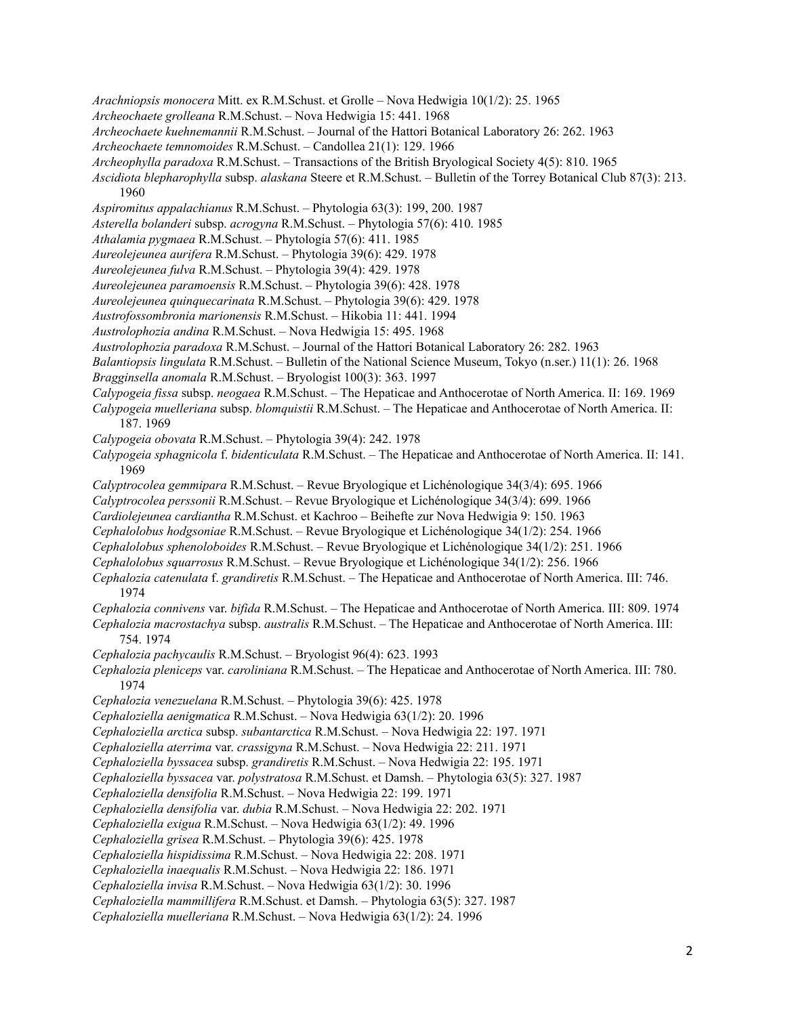- *Arachniopsis monocera* Mitt. ex R.M.Schust. et Grolle Nova Hedwigia 10(1/2): 25. 1965
- *Archeochaete grolleana* R.M.Schust. Nova Hedwigia 15: 441. 1968
- *Archeochaete kuehnemannii* R.M.Schust. Journal of the Hattori Botanical Laboratory 26: 262. 1963
- *Archeochaete temnomoides* R.M.Schust. Candollea 21(1): 129. 1966
- *Archeophylla paradoxa* R.M.Schust. Transactions of the British Bryological Society 4(5): 810. 1965
- *Ascidiota blepharophylla* subsp. *alaskana* Steere et R.M.Schust. Bulletin of the Torrey Botanical Club 87(3): 213. 1960
- *Aspiromitus appalachianus* R.M.Schust. Phytologia 63(3): 199, 200. 1987
- *Asterella bolanderi* subsp. *acrogyna* R.M.Schust. Phytologia 57(6): 410. 1985
- *Athalamia pygmaea* R.M.Schust. Phytologia 57(6): 411. 1985
- *Aureolejeunea aurifera* R.M.Schust. Phytologia 39(6): 429. 1978
- *Aureolejeunea fulva* R.M.Schust. Phytologia 39(4): 429. 1978
- *Aureolejeunea paramoensis* R.M.Schust. Phytologia 39(6): 428. 1978
- *Aureolejeunea quinquecarinata* R.M.Schust. Phytologia 39(6): 429. 1978
- *Austrofossombronia marionensis* R.M.Schust. Hikobia 11: 441. 1994
- *Austrolophozia andina* R.M.Schust. Nova Hedwigia 15: 495. 1968
- *Austrolophozia paradoxa* R.M.Schust. Journal of the Hattori Botanical Laboratory 26: 282. 1963
- *Balantiopsis lingulata* R.M.Schust. Bulletin of the National Science Museum, Tokyo (n.ser.) 11(1): 26. 1968
- *Bragginsella anomala* R.M.Schust. Bryologist 100(3): 363. 1997
- *Calypogeia fissa* subsp. *neogaea* R.M.Schust. The Hepaticae and Anthocerotae of North America. II: 169. 1969
- *Calypogeia muelleriana* subsp. *blomquistii* R.M.Schust. The Hepaticae and Anthocerotae of North America. II: 187. 1969
- *Calypogeia obovata* R.M.Schust. Phytologia 39(4): 242. 1978
- *Calypogeia sphagnicola* f. *bidenticulata* R.M.Schust. The Hepaticae and Anthocerotae of North America. II: 141. 1969
- *Calyptrocolea gemmipara* R.M.Schust. Revue Bryologique et Lichénologique 34(3/4): 695. 1966
- *Calyptrocolea perssonii* R.M.Schust. Revue Bryologique et Lichénologique 34(3/4): 699. 1966
- *Cardiolejeunea cardiantha* R.M.Schust. et Kachroo Beihefte zur Nova Hedwigia 9: 150. 1963
- *Cephalolobus hodgsoniae* R.M.Schust. Revue Bryologique et Lichénologique 34(1/2): 254. 1966
- *Cephalolobus sphenoloboides* R.M.Schust. Revue Bryologique et Lichénologique 34(1/2): 251. 1966
- *Cephalolobus squarrosus* R.M.Schust. Revue Bryologique et Lichénologique 34(1/2): 256. 1966
- *Cephalozia catenulata* f. *grandiretis* R.M.Schust. The Hepaticae and Anthocerotae of North America. III: 746. 1974
- *Cephalozia connivens* var. *bifida* R.M.Schust. The Hepaticae and Anthocerotae of North America. III: 809. 1974 *Cephalozia macrostachya* subsp. *australis* R.M.Schust. – The Hepaticae and Anthocerotae of North America. III:
	- 754. 1974
- *Cephalozia pachycaulis* R.M.Schust. Bryologist 96(4): 623. 1993
- *Cephalozia pleniceps* var. *caroliniana* R.M.Schust. The Hepaticae and Anthocerotae of North America. III: 780. 1974
- *Cephalozia venezuelana* R.M.Schust. Phytologia 39(6): 425. 1978
- *Cephaloziella aenigmatica* R.M.Schust. Nova Hedwigia 63(1/2): 20. 1996
- *Cephaloziella arctica* subsp. *subantarctica* R.M.Schust. Nova Hedwigia 22: 197. 1971
- *Cephaloziella aterrima* var. *crassigyna* R.M.Schust. Nova Hedwigia 22: 211. 1971
- *Cephaloziella byssacea* subsp. *grandiretis* R.M.Schust. Nova Hedwigia 22: 195. 1971
- *Cephaloziella byssacea* var. *polystratosa* R.M.Schust. et Damsh. Phytologia 63(5): 327. 1987
- *Cephaloziella densifolia* R.M.Schust. Nova Hedwigia 22: 199. 1971
- *Cephaloziella densifolia* var. *dubia* R.M.Schust. Nova Hedwigia 22: 202. 1971
- *Cephaloziella exigua* R.M.Schust. Nova Hedwigia 63(1/2): 49. 1996
- *Cephaloziella grisea* R.M.Schust. Phytologia 39(6): 425. 1978
- *Cephaloziella hispidissima* R.M.Schust. Nova Hedwigia 22: 208. 1971
- *Cephaloziella inaequalis* R.M.Schust. Nova Hedwigia 22: 186. 1971
- *Cephaloziella invisa* R.M.Schust. Nova Hedwigia 63(1/2): 30. 1996
- *Cephaloziella mammillifera* R.M.Schust. et Damsh. Phytologia 63(5): 327. 1987
- *Cephaloziella muelleriana* R.M.Schust. Nova Hedwigia 63(1/2): 24. 1996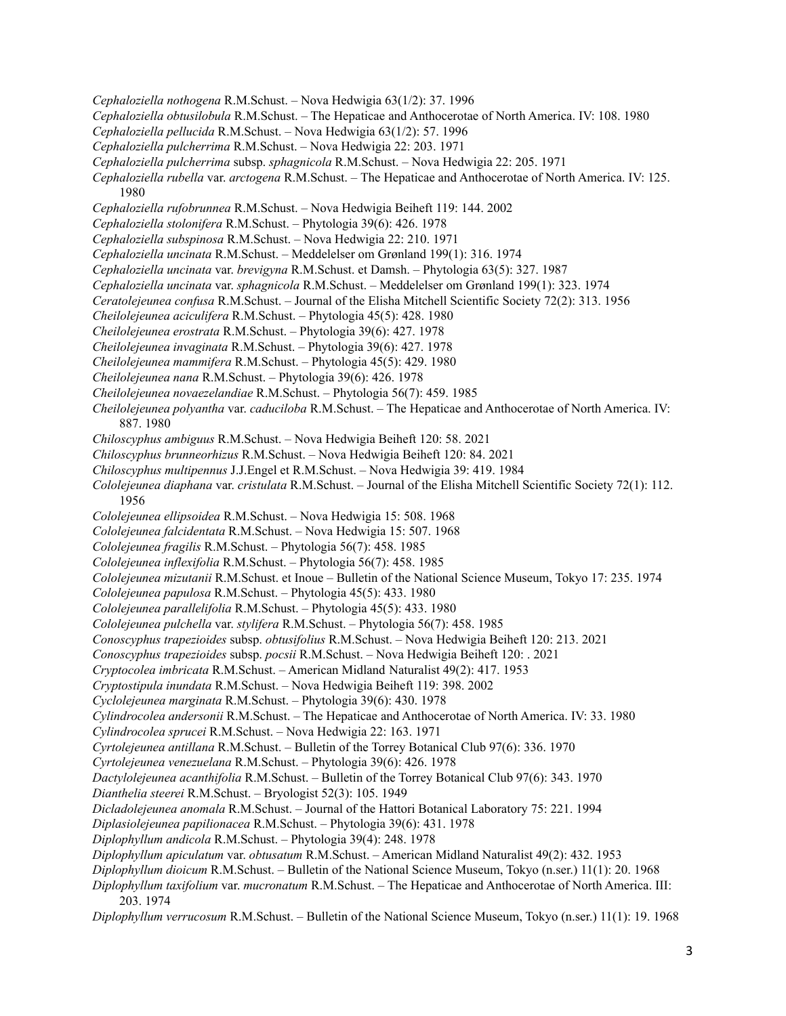- *Cephaloziella nothogena* R.M.Schust. Nova Hedwigia 63(1/2): 37. 1996
- *Cephaloziella obtusilobula* R.M.Schust. The Hepaticae and Anthocerotae of North America. IV: 108. 1980
- *Cephaloziella pellucida* R.M.Schust. Nova Hedwigia 63(1/2): 57. 1996
- *Cephaloziella pulcherrima* R.M.Schust. Nova Hedwigia 22: 203. 1971
- *Cephaloziella pulcherrima* subsp. *sphagnicola* R.M.Schust. Nova Hedwigia 22: 205. 1971
- *Cephaloziella rubella* var. *arctogena* R.M.Schust. The Hepaticae and Anthocerotae of North America. IV: 125. 1980
- *Cephaloziella rufobrunnea* R.M.Schust. Nova Hedwigia Beiheft 119: 144. 2002
- *Cephaloziella stolonifera* R.M.Schust. Phytologia 39(6): 426. 1978
- *Cephaloziella subspinosa* R.M.Schust. Nova Hedwigia 22: 210. 1971
- *Cephaloziella uncinata* R.M.Schust. Meddelelser om Grønland 199(1): 316. 1974
- *Cephaloziella uncinata* var. *brevigyna* R.M.Schust. et Damsh. Phytologia 63(5): 327. 1987
- *Cephaloziella uncinata* var. *sphagnicola* R.M.Schust. Meddelelser om Grønland 199(1): 323. 1974
- *Ceratolejeunea confusa* R.M.Schust. Journal of the Elisha Mitchell Scientific Society 72(2): 313. 1956
- *Cheilolejeunea aciculifera* R.M.Schust. Phytologia 45(5): 428. 1980
- *Cheilolejeunea erostrata* R.M.Schust. Phytologia 39(6): 427. 1978
- *Cheilolejeunea invaginata* R.M.Schust. Phytologia 39(6): 427. 1978
- *Cheilolejeunea mammifera* R.M.Schust. Phytologia 45(5): 429. 1980
- *Cheilolejeunea nana* R.M.Schust. Phytologia 39(6): 426. 1978
- *Cheilolejeunea novaezelandiae* R.M.Schust. Phytologia 56(7): 459. 1985
- *Cheilolejeunea polyantha* var. *caduciloba* R.M.Schust. The Hepaticae and Anthocerotae of North America. IV: 887. 1980
- *Chiloscyphus ambiguus* R.M.Schust. Nova Hedwigia Beiheft 120: 58. 2021
- *Chiloscyphus brunneorhizus* R.M.Schust. Nova Hedwigia Beiheft 120: 84. 2021
- *Chiloscyphus multipennus* J.J.Engel et R.M.Schust. Nova Hedwigia 39: 419. 1984
- *Cololejeunea diaphana* var. *cristulata* R.M.Schust. Journal of the Elisha Mitchell Scientific Society 72(1): 112. 1956
- *Cololejeunea ellipsoidea* R.M.Schust. Nova Hedwigia 15: 508. 1968
- *Cololejeunea falcidentata* R.M.Schust. Nova Hedwigia 15: 507. 1968
- *Cololejeunea fragilis* R.M.Schust. Phytologia 56(7): 458. 1985
- *Cololejeunea inflexifolia* R.M.Schust. Phytologia 56(7): 458. 1985
- *Cololejeunea mizutanii* R.M.Schust. et Inoue Bulletin of the National Science Museum, Tokyo 17: 235. 1974
- *Cololejeunea papulosa* R.M.Schust. Phytologia 45(5): 433. 1980
- *Cololejeunea parallelifolia* R.M.Schust. Phytologia 45(5): 433. 1980
- *Cololejeunea pulchella* var. *stylifera* R.M.Schust. Phytologia 56(7): 458. 1985
- *Conoscyphus trapezioides* subsp. *obtusifolius* R.M.Schust. Nova Hedwigia Beiheft 120: 213. 2021
- *Conoscyphus trapezioides* subsp. *pocsii* R.M.Schust. Nova Hedwigia Beiheft 120: . 2021
- *Cryptocolea imbricata* R.M.Schust. American Midland Naturalist 49(2): 417. 1953
- *Cryptostipula inundata* R.M.Schust. Nova Hedwigia Beiheft 119: 398. 2002
- *Cyclolejeunea marginata* R.M.Schust. Phytologia 39(6): 430. 1978
- *Cylindrocolea andersonii* R.M.Schust. The Hepaticae and Anthocerotae of North America. IV: 33. 1980
- *Cylindrocolea sprucei* R.M.Schust. Nova Hedwigia 22: 163. 1971
- *Cyrtolejeunea antillana* R.M.Schust. Bulletin of the Torrey Botanical Club 97(6): 336. 1970
- *Cyrtolejeunea venezuelana* R.M.Schust. Phytologia 39(6): 426. 1978
- *Dactylolejeunea acanthifolia* R.M.Schust. Bulletin of the Torrey Botanical Club 97(6): 343. 1970
- *Dianthelia steerei* R.M.Schust. Bryologist 52(3): 105. 1949
- *Dicladolejeunea anomala* R.M.Schust. Journal of the Hattori Botanical Laboratory 75: 221. 1994
- *Diplasiolejeunea papilionacea* R.M.Schust. Phytologia 39(6): 431. 1978
- *Diplophyllum andicola* R.M.Schust. Phytologia 39(4): 248. 1978
- *Diplophyllum apiculatum* var. *obtusatum* R.M.Schust. American Midland Naturalist 49(2): 432. 1953
- *Diplophyllum dioicum* R.M.Schust. Bulletin of the National Science Museum, Tokyo (n.ser.) 11(1): 20. 1968
- *Diplophyllum taxifolium* var. *mucronatum* R.M.Schust. The Hepaticae and Anthocerotae of North America. III: 203. 1974
- *Diplophyllum verrucosum* R.M.Schust. Bulletin of the National Science Museum, Tokyo (n.ser.) 11(1): 19. 1968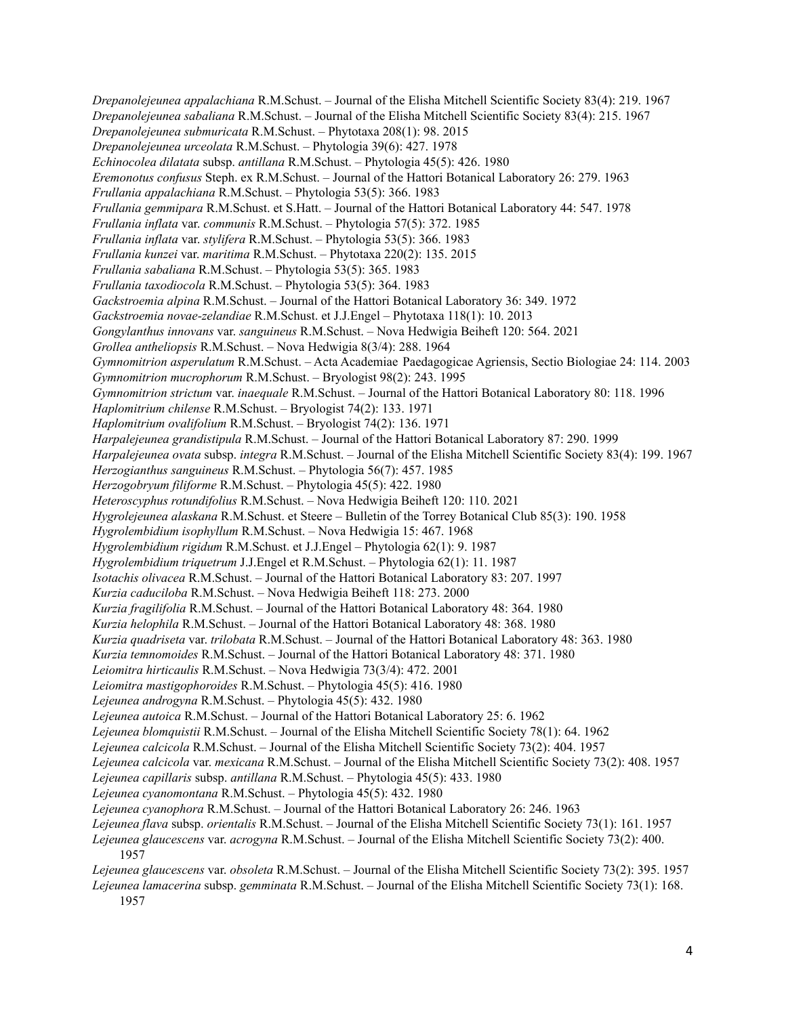*Drepanolejeunea appalachiana* R.M.Schust. – Journal of the Elisha Mitchell Scientific Society 83(4): 219. 1967 *Drepanolejeunea sabaliana* R.M.Schust. – Journal of the Elisha Mitchell Scientific Society 83(4): 215. 1967 *Drepanolejeunea submuricata* R.M.Schust. – Phytotaxa 208(1): 98. 2015 *Drepanolejeunea urceolata* R.M.Schust. – Phytologia 39(6): 427. 1978 *Echinocolea dilatata* subsp. *antillana* R.M.Schust. – Phytologia 45(5): 426. 1980 *Eremonotus confusus* Steph. ex R.M.Schust. – Journal of the Hattori Botanical Laboratory 26: 279. 1963 *Frullania appalachiana* R.M.Schust. – Phytologia 53(5): 366. 1983 *Frullania gemmipara* R.M.Schust. et S.Hatt. – Journal of the Hattori Botanical Laboratory 44: 547. 1978 *Frullania inflata* var. *communis* R.M.Schust. – Phytologia 57(5): 372. 1985 *Frullania inflata* var. *stylifera* R.M.Schust. – Phytologia 53(5): 366. 1983 *Frullania kunzei* var. *maritima* R.M.Schust. – Phytotaxa 220(2): 135. 2015 *Frullania sabaliana* R.M.Schust. – Phytologia 53(5): 365. 1983 *Frullania taxodiocola* R.M.Schust. – Phytologia 53(5): 364. 1983 *Gackstroemia alpina* R.M.Schust. – Journal of the Hattori Botanical Laboratory 36: 349. 1972 *Gackstroemia novae-zelandiae* R.M.Schust. et J.J.Engel – Phytotaxa 118(1): 10. 2013 *Gongylanthus innovans* var. *sanguineus* R.M.Schust. – Nova Hedwigia Beiheft 120: 564. 2021 *Grollea antheliopsis* R.M.Schust. – Nova Hedwigia 8(3/4): 288. 1964 *Gymnomitrion asperulatum* R.M.Schust. – Acta Academiae Paedagogicae Agriensis, Sectio Biologiae 24: 114. 2003 *Gymnomitrion mucrophorum* R.M.Schust. – Bryologist 98(2): 243. 1995 *Gymnomitrion strictum* var. *inaequale* R.M.Schust. – Journal of the Hattori Botanical Laboratory 80: 118. 1996 *Haplomitrium chilense* R.M.Schust. – Bryologist 74(2): 133. 1971 *Haplomitrium ovalifolium* R.M.Schust. – Bryologist 74(2): 136. 1971 *Harpalejeunea grandistipula* R.M.Schust. – Journal of the Hattori Botanical Laboratory 87: 290. 1999 *Harpalejeunea ovata* subsp. *integra* R.M.Schust. – Journal of the Elisha Mitchell Scientific Society 83(4): 199. 1967 *Herzogianthus sanguineus* R.M.Schust. – Phytologia 56(7): 457. 1985 *Herzogobryum filiforme* R.M.Schust. – Phytologia 45(5): 422. 1980 *Heteroscyphus rotundifolius* R.M.Schust. – Nova Hedwigia Beiheft 120: 110. 2021 *Hygrolejeunea alaskana* R.M.Schust. et Steere – Bulletin of the Torrey Botanical Club 85(3): 190. 1958 *Hygrolembidium isophyllum* R.M.Schust. – Nova Hedwigia 15: 467. 1968 *Hygrolembidium rigidum* R.M.Schust. et J.J.Engel – Phytologia 62(1): 9. 1987 *Hygrolembidium triquetrum* J.J.Engel et R.M.Schust. – Phytologia 62(1): 11. 1987 *Isotachis olivacea* R.M.Schust. – Journal of the Hattori Botanical Laboratory 83: 207. 1997 *Kurzia caduciloba* R.M.Schust. – Nova Hedwigia Beiheft 118: 273. 2000 *Kurzia fragilifolia* R.M.Schust. – Journal of the Hattori Botanical Laboratory 48: 364. 1980 *Kurzia helophila* R.M.Schust. – Journal of the Hattori Botanical Laboratory 48: 368. 1980 *Kurzia quadriseta* var. *trilobata* R.M.Schust. – Journal of the Hattori Botanical Laboratory 48: 363. 1980 *Kurzia temnomoides* R.M.Schust. – Journal of the Hattori Botanical Laboratory 48: 371. 1980 *Leiomitra hirticaulis* R.M.Schust. – Nova Hedwigia 73(3/4): 472. 2001 *Leiomitra mastigophoroides* R.M.Schust. – Phytologia 45(5): 416. 1980 *Lejeunea androgyna* R.M.Schust. – Phytologia 45(5): 432. 1980 *Lejeunea autoica* R.M.Schust. – Journal of the Hattori Botanical Laboratory 25: 6. 1962 *Lejeunea blomquistii* R.M.Schust. – Journal of the Elisha Mitchell Scientific Society 78(1): 64. 1962 *Lejeunea calcicola* R.M.Schust. – Journal of the Elisha Mitchell Scientific Society 73(2): 404. 1957 *Lejeunea calcicola* var. *mexicana* R.M.Schust. – Journal of the Elisha Mitchell Scientific Society 73(2): 408. 1957 *Lejeunea capillaris* subsp. *antillana* R.M.Schust. – Phytologia 45(5): 433. 1980 *Lejeunea cyanomontana* R.M.Schust. – Phytologia 45(5): 432. 1980 *Lejeunea cyanophora* R.M.Schust. – Journal of the Hattori Botanical Laboratory 26: 246. 1963 *Lejeunea flava* subsp. *orientalis* R.M.Schust. – Journal of the Elisha Mitchell Scientific Society 73(1): 161. 1957 *Lejeunea glaucescens* var. *acrogyna* R.M.Schust. – Journal of the Elisha Mitchell Scientific Society 73(2): 400. 1957 *Lejeunea glaucescens* var. *obsoleta* R.M.Schust. – Journal of the Elisha Mitchell Scientific Society 73(2): 395. 1957

*Lejeunea lamacerina* subsp. *gemminata* R.M.Schust. – Journal of the Elisha Mitchell Scientific Society 73(1): 168. 1957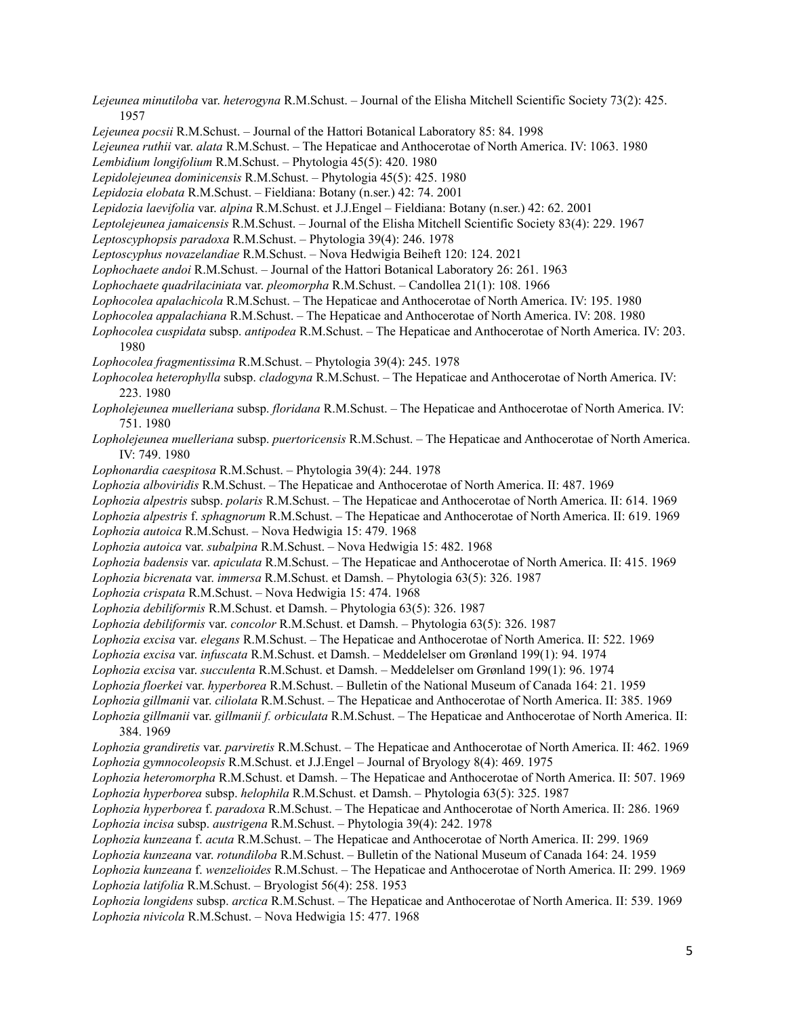- *Lejeunea minutiloba* var. *heterogyna* R.M.Schust. Journal of the Elisha Mitchell Scientific Society 73(2): 425. 1957
- *Lejeunea pocsii* R.M.Schust. Journal of the Hattori Botanical Laboratory 85: 84. 1998
- *Lejeunea ruthii* var. *alata* R.M.Schust. The Hepaticae and Anthocerotae of North America. IV: 1063. 1980
- *Lembidium longifolium* R.M.Schust. Phytologia 45(5): 420. 1980
- *Lepidolejeunea dominicensis* R.M.Schust. Phytologia 45(5): 425. 1980
- *Lepidozia elobata* R.M.Schust. Fieldiana: Botany (n.ser.) 42: 74. 2001
- *Lepidozia laevifolia* var. *alpina* R.M.Schust. et J.J.Engel Fieldiana: Botany (n.ser.) 42: 62. 2001
- *Leptolejeunea jamaicensis* R.M.Schust. Journal of the Elisha Mitchell Scientific Society 83(4): 229. 1967
- *Leptoscyphopsis paradoxa* R.M.Schust. Phytologia 39(4): 246. 1978
- *Leptoscyphus novazelandiae* R.M.Schust. Nova Hedwigia Beiheft 120: 124. 2021
- *Lophochaete andoi* R.M.Schust. Journal of the Hattori Botanical Laboratory 26: 261. 1963
- *Lophochaete quadrilaciniata* var. *pleomorpha* R.M.Schust. Candollea 21(1): 108. 1966
- *Lophocolea apalachicola* R.M.Schust. The Hepaticae and Anthocerotae of North America. IV: 195. 1980
- *Lophocolea appalachiana* R.M.Schust. The Hepaticae and Anthocerotae of North America. IV: 208. 1980
- *Lophocolea cuspidata* subsp. *antipodea* R.M.Schust. The Hepaticae and Anthocerotae of North America. IV: 203. 1980
- *Lophocolea fragmentissima* R.M.Schust. Phytologia 39(4): 245. 1978
- *Lophocolea heterophylla* subsp. *cladogyna* R.M.Schust. The Hepaticae and Anthocerotae of North America. IV: 223. 1980
- *Lopholejeunea muelleriana* subsp. *floridana* R.M.Schust. The Hepaticae and Anthocerotae of North America. IV: 751. 1980
- *Lopholejeunea muelleriana* subsp. *puertoricensis* R.M.Schust. The Hepaticae and Anthocerotae of North America. IV: 749. 1980
- *Lophonardia caespitosa* R.M.Schust. Phytologia 39(4): 244. 1978
- *Lophozia alboviridis* R.M.Schust. The Hepaticae and Anthocerotae of North America. II: 487. 1969
- *Lophozia alpestris* subsp. *polaris* R.M.Schust. The Hepaticae and Anthocerotae of North America. II: 614. 1969
- *Lophozia alpestris* f. *sphagnorum* R.M.Schust. The Hepaticae and Anthocerotae of North America. II: 619. 1969
- *Lophozia autoica* R.M.Schust. Nova Hedwigia 15: 479. 1968
- *Lophozia autoica* var. *subalpina* R.M.Schust. Nova Hedwigia 15: 482. 1968
- *Lophozia badensis* var. *apiculata* R.M.Schust. The Hepaticae and Anthocerotae of North America. II: 415. 1969
- *Lophozia bicrenata* var. *immersa* R.M.Schust. et Damsh. Phytologia 63(5): 326. 1987
- *Lophozia crispata* R.M.Schust. Nova Hedwigia 15: 474. 1968
- *Lophozia debiliformis* R.M.Schust. et Damsh. Phytologia 63(5): 326. 1987
- *Lophozia debiliformis* var. *concolor* R.M.Schust. et Damsh. Phytologia 63(5): 326. 1987
- *Lophozia excisa* var. *elegans* R.M.Schust. The Hepaticae and Anthocerotae of North America. II: 522. 1969
- *Lophozia excisa* var. *infuscata* R.M.Schust. et Damsh. Meddelelser om Grønland 199(1): 94. 1974
- *Lophozia excisa* var. *succulenta* R.M.Schust. et Damsh. Meddelelser om Grønland 199(1): 96. 1974
- *Lophozia floerkei* var. *hyperborea* R.M.Schust. Bulletin of the National Museum of Canada 164: 21. 1959
- *Lophozia gillmanii* var. *ciliolata* R.M.Schust. The Hepaticae and Anthocerotae of North America. II: 385. 1969
- *Lophozia gillmanii* var. *gillmanii f. orbiculata* R.M.Schust. The Hepaticae and Anthocerotae of North America. II: 384. 1969
- *Lophozia grandiretis* var. *parviretis* R.M.Schust. The Hepaticae and Anthocerotae of North America. II: 462. 1969 *Lophozia gymnocoleopsis* R.M.Schust. et J.J.Engel – Journal of Bryology 8(4): 469. 1975
- *Lophozia heteromorpha* R.M.Schust. et Damsh. The Hepaticae and Anthocerotae of North America. II: 507. 1969 *Lophozia hyperborea* subsp. *helophila* R.M.Schust. et Damsh. – Phytologia 63(5): 325. 1987
- *Lophozia hyperborea* f. *paradoxa* R.M.Schust. The Hepaticae and Anthocerotae of North America. II: 286. 1969 *Lophozia incisa* subsp. *austrigena* R.M.Schust. – Phytologia 39(4): 242. 1978
- *Lophozia kunzeana* f. *acuta* R.M.Schust. The Hepaticae and Anthocerotae of North America. II: 299. 1969
- *Lophozia kunzeana* var. *rotundiloba* R.M.Schust. Bulletin of the National Museum of Canada 164: 24. 1959
- *Lophozia kunzeana* f. *wenzelioides* R.M.Schust. The Hepaticae and Anthocerotae of North America. II: 299. 1969 *Lophozia latifolia* R.M.Schust. – Bryologist 56(4): 258. 1953
- *Lophozia longidens* subsp. *arctica* R.M.Schust. The Hepaticae and Anthocerotae of North America. II: 539. 1969 *Lophozia nivicola* R.M.Schust. – Nova Hedwigia 15: 477. 1968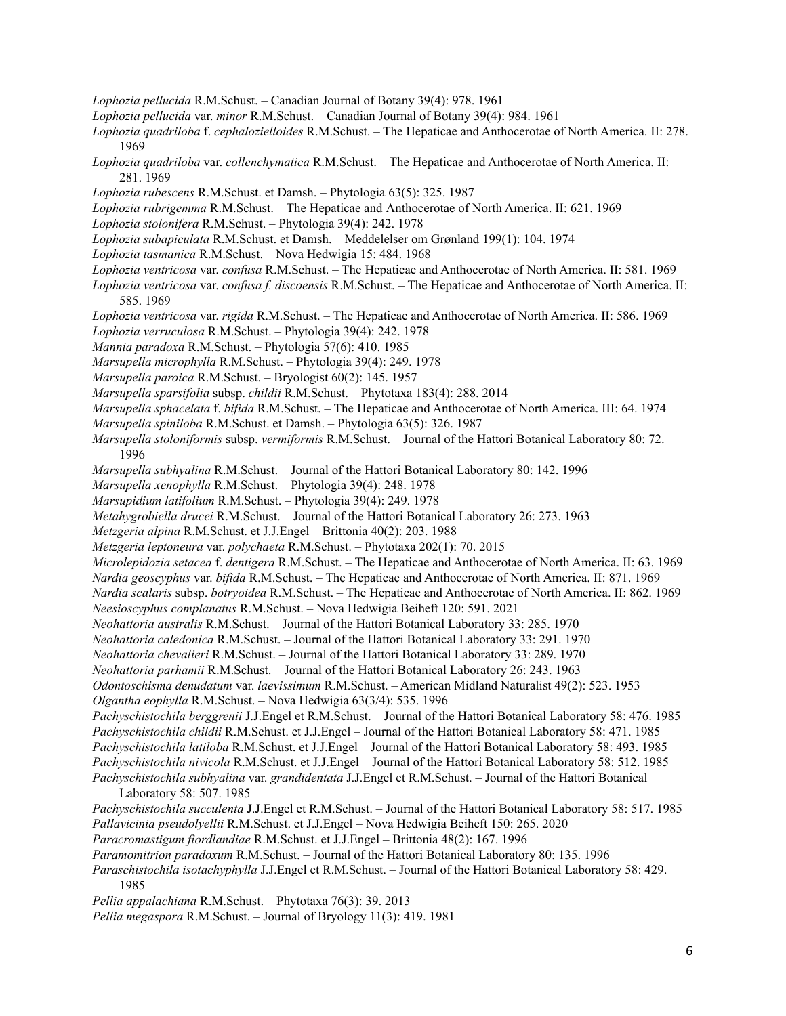- *Lophozia pellucida* R.M.Schust. Canadian Journal of Botany 39(4): 978. 1961
- *Lophozia pellucida* var. *minor* R.M.Schust. Canadian Journal of Botany 39(4): 984. 1961
- *Lophozia quadriloba* f. *cephalozielloides* R.M.Schust. The Hepaticae and Anthocerotae of North America. II: 278. 1969
- *Lophozia quadriloba* var. *collenchymatica* R.M.Schust. The Hepaticae and Anthocerotae of North America. II: 281. 1969
- *Lophozia rubescens* R.M.Schust. et Damsh. Phytologia 63(5): 325. 1987
- *Lophozia rubrigemma* R.M.Schust. The Hepaticae and Anthocerotae of North America. II: 621. 1969
- *Lophozia stolonifera* R.M.Schust. Phytologia 39(4): 242. 1978
- *Lophozia subapiculata* R.M.Schust. et Damsh. Meddelelser om Grønland 199(1): 104. 1974
- *Lophozia tasmanica* R.M.Schust. Nova Hedwigia 15: 484. 1968
- *Lophozia ventricosa* var. *confusa* R.M.Schust. The Hepaticae and Anthocerotae of North America. II: 581. 1969
- *Lophozia ventricosa* var. *confusa f. discoensis* R.M.Schust. The Hepaticae and Anthocerotae of North America. II: 585. 1969
- *Lophozia ventricosa* var. *rigida* R.M.Schust. The Hepaticae and Anthocerotae of North America. II: 586. 1969
- *Lophozia verruculosa* R.M.Schust. Phytologia 39(4): 242. 1978
- *Mannia paradoxa* R.M.Schust. Phytologia 57(6): 410. 1985
- *Marsupella microphylla* R.M.Schust. Phytologia 39(4): 249. 1978
- *Marsupella paroica* R.M.Schust. Bryologist 60(2): 145. 1957
- *Marsupella sparsifolia* subsp. *childii* R.M.Schust. Phytotaxa 183(4): 288. 2014
- *Marsupella sphacelata* f. *bifida* R.M.Schust. The Hepaticae and Anthocerotae of North America. III: 64. 1974
- *Marsupella spiniloba* R.M.Schust. et Damsh. Phytologia 63(5): 326. 1987
- *Marsupella stoloniformis* subsp. *vermiformis* R.M.Schust. Journal of the Hattori Botanical Laboratory 80: 72. 1996
- *Marsupella subhyalina* R.M.Schust. Journal of the Hattori Botanical Laboratory 80: 142. 1996
- *Marsupella xenophylla* R.M.Schust. Phytologia 39(4): 248. 1978
- *Marsupidium latifolium* R.M.Schust. Phytologia 39(4): 249. 1978
- *Metahygrobiella drucei* R.M.Schust. Journal of the Hattori Botanical Laboratory 26: 273. 1963
- *Metzgeria alpina* R.M.Schust. et J.J.Engel Brittonia 40(2): 203. 1988
- *Metzgeria leptoneura* var. *polychaeta* R.M.Schust. Phytotaxa 202(1): 70. 2015
- *Microlepidozia setacea* f. *dentigera* R.M.Schust. The Hepaticae and Anthocerotae of North America. II: 63. 1969
- *Nardia geoscyphus* var. *bifida* R.M.Schust. The Hepaticae and Anthocerotae of North America. II: 871. 1969
- *Nardia scalaris* subsp. *botryoidea* R.M.Schust. The Hepaticae and Anthocerotae of North America. II: 862. 1969 *Neesioscyphus complanatus* R.M.Schust. – Nova Hedwigia Beiheft 120: 591. 2021
- *Neohattoria australis* R.M.Schust. Journal of the Hattori Botanical Laboratory 33: 285. 1970
- *Neohattoria caledonica* R.M.Schust. Journal of the Hattori Botanical Laboratory 33: 291. 1970
- *Neohattoria chevalieri* R.M.Schust. Journal of the Hattori Botanical Laboratory 33: 289. 1970
- *Neohattoria parhamii* R.M.Schust. Journal of the Hattori Botanical Laboratory 26: 243. 1963
- *Odontoschisma denudatum* var. *laevissimum* R.M.Schust. American Midland Naturalist 49(2): 523. 1953
- *Olgantha eophylla* R.M.Schust. Nova Hedwigia 63(3/4): 535. 1996
- *Pachyschistochila berggrenii* J.J.Engel et R.M.Schust. Journal of the Hattori Botanical Laboratory 58: 476. 1985 *Pachyschistochila childii* R.M.Schust. et J.J.Engel – Journal of the Hattori Botanical Laboratory 58: 471. 1985 *Pachyschistochila latiloba* R.M.Schust. et J.J.Engel – Journal of the Hattori Botanical Laboratory 58: 493. 1985 *Pachyschistochila nivicola* R.M.Schust. et J.J.Engel – Journal of the Hattori Botanical Laboratory 58: 512. 1985 *Pachyschistochila subhyalina* var. *grandidentata* J.J.Engel et R.M.Schust. – Journal of the Hattori Botanical
- Laboratory 58: 507. 1985
- *Pachyschistochila succulenta* J.J.Engel et R.M.Schust. Journal of the Hattori Botanical Laboratory 58: 517. 1985 *Pallavicinia pseudolyellii* R.M.Schust. et J.J.Engel – Nova Hedwigia Beiheft 150: 265. 2020
- *Paracromastigum fiordlandiae* R.M.Schust. et J.J.Engel Brittonia 48(2): 167. 1996
- *Paramomitrion paradoxum* R.M.Schust. Journal of the Hattori Botanical Laboratory 80: 135. 1996
- *Paraschistochila isotachyphylla* J.J.Engel et R.M.Schust. Journal of the Hattori Botanical Laboratory 58: 429. 1985
- *Pellia appalachiana* R.M.Schust. Phytotaxa 76(3): 39. 2013

*Pellia megaspora* R.M.Schust. – Journal of Bryology 11(3): 419. 1981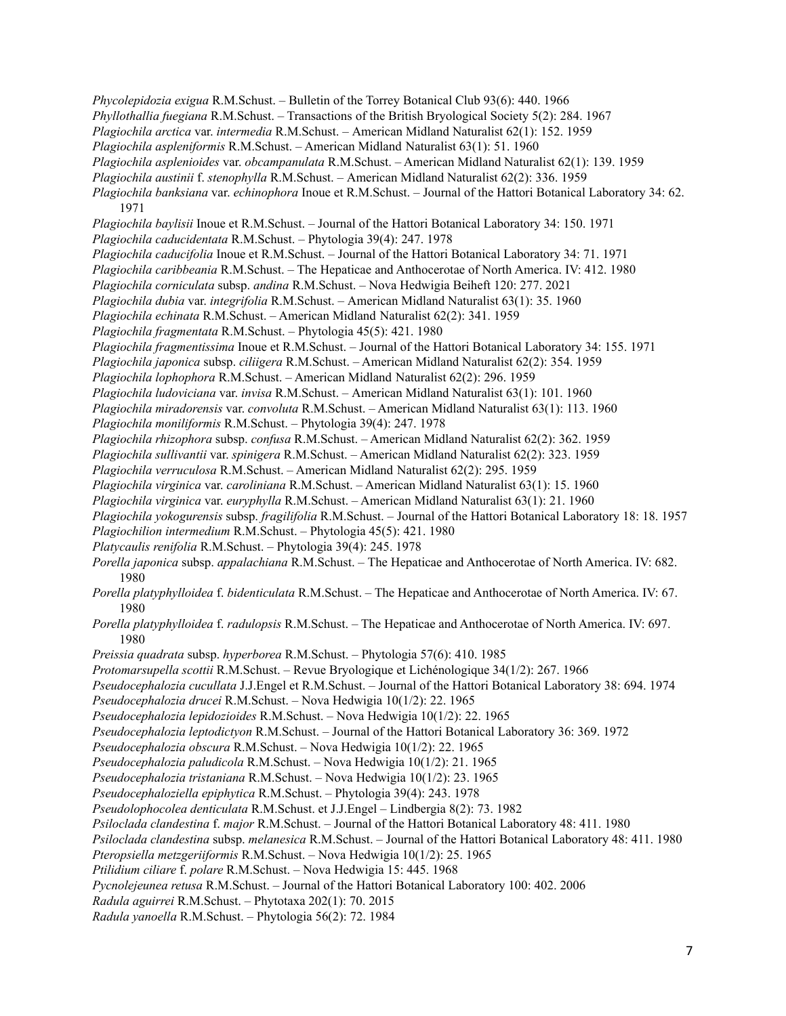*Phycolepidozia exigua* R.M.Schust. – Bulletin of the Torrey Botanical Club 93(6): 440. 1966 *Phyllothallia fuegiana* R.M.Schust. – Transactions of the British Bryological Society 5(2): 284. 1967 *Plagiochila arctica* var. *intermedia* R.M.Schust. – American Midland Naturalist 62(1): 152. 1959 *Plagiochila aspleniformis* R.M.Schust. – American Midland Naturalist 63(1): 51. 1960 *Plagiochila asplenioides* var. *obcampanulata* R.M.Schust. – American Midland Naturalist 62(1): 139. 1959 *Plagiochila austinii* f. *stenophylla* R.M.Schust. – American Midland Naturalist 62(2): 336. 1959 *Plagiochila banksiana* var. *echinophora* Inoue et R.M.Schust. – Journal of the Hattori Botanical Laboratory 34: 62. 1971 *Plagiochila baylisii* Inoue et R.M.Schust. – Journal of the Hattori Botanical Laboratory 34: 150. 1971 *Plagiochila caducidentata* R.M.Schust. – Phytologia 39(4): 247. 1978 *Plagiochila caducifolia* Inoue et R.M.Schust. – Journal of the Hattori Botanical Laboratory 34: 71. 1971 *Plagiochila caribbeania* R.M.Schust. – The Hepaticae and Anthocerotae of North America. IV: 412. 1980 *Plagiochila corniculata* subsp. *andina* R.M.Schust. – Nova Hedwigia Beiheft 120: 277. 2021 *Plagiochila dubia* var. *integrifolia* R.M.Schust. – American Midland Naturalist 63(1): 35. 1960 *Plagiochila echinata* R.M.Schust. – American Midland Naturalist 62(2): 341. 1959 *Plagiochila fragmentata* R.M.Schust. – Phytologia 45(5): 421. 1980 *Plagiochila fragmentissima* Inoue et R.M.Schust. – Journal of the Hattori Botanical Laboratory 34: 155. 1971 *Plagiochila japonica* subsp. *ciliigera* R.M.Schust. – American Midland Naturalist 62(2): 354. 1959 *Plagiochila lophophora* R.M.Schust. – American Midland Naturalist 62(2): 296. 1959 *Plagiochila ludoviciana* var. *invisa* R.M.Schust. – American Midland Naturalist 63(1): 101. 1960 *Plagiochila miradorensis* var. *convoluta* R.M.Schust. – American Midland Naturalist 63(1): 113. 1960 *Plagiochila moniliformis* R.M.Schust. – Phytologia 39(4): 247. 1978 *Plagiochila rhizophora* subsp. *confusa* R.M.Schust. – American Midland Naturalist 62(2): 362. 1959 *Plagiochila sullivantii* var. *spinigera* R.M.Schust. – American Midland Naturalist 62(2): 323. 1959 *Plagiochila verruculosa* R.M.Schust. – American Midland Naturalist 62(2): 295. 1959 *Plagiochila virginica* var. *caroliniana* R.M.Schust. – American Midland Naturalist 63(1): 15. 1960 *Plagiochila virginica* var. *euryphylla* R.M.Schust. – American Midland Naturalist 63(1): 21. 1960 *Plagiochila yokogurensis* subsp. *fragilifolia* R.M.Schust. – Journal of the Hattori Botanical Laboratory 18: 18. 1957 *Plagiochilion intermedium* R.M.Schust. – Phytologia 45(5): 421. 1980 *Platycaulis renifolia* R.M.Schust. – Phytologia 39(4): 245. 1978 *Porella japonica* subsp. *appalachiana* R.M.Schust. – The Hepaticae and Anthocerotae of North America. IV: 682. 1980 *Porella platyphylloidea* f. *bidenticulata* R.M.Schust. – The Hepaticae and Anthocerotae of North America. IV: 67. 1980 *Porella platyphylloidea* f. *radulopsis* R.M.Schust. – The Hepaticae and Anthocerotae of North America. IV: 697. 1980 *Preissia quadrata* subsp. *hyperborea* R.M.Schust. – Phytologia 57(6): 410. 1985 *Protomarsupella scottii* R.M.Schust. – Revue Bryologique et Lichénologique 34(1/2): 267. 1966 *Pseudocephalozia cucullata* J.J.Engel et R.M.Schust. – Journal of the Hattori Botanical Laboratory 38: 694. 1974 *Pseudocephalozia drucei* R.M.Schust. – Nova Hedwigia 10(1/2): 22. 1965 *Pseudocephalozia lepidozioides* R.M.Schust. – Nova Hedwigia 10(1/2): 22. 1965 *Pseudocephalozia leptodictyon* R.M.Schust. – Journal of the Hattori Botanical Laboratory 36: 369. 1972 *Pseudocephalozia obscura* R.M.Schust. – Nova Hedwigia 10(1/2): 22. 1965 *Pseudocephalozia paludicola* R.M.Schust. – Nova Hedwigia 10(1/2): 21. 1965 *Pseudocephalozia tristaniana* R.M.Schust. – Nova Hedwigia 10(1/2): 23. 1965 *Pseudocephaloziella epiphytica* R.M.Schust. – Phytologia 39(4): 243. 1978 *Pseudolophocolea denticulata* R.M.Schust. et J.J.Engel – Lindbergia 8(2): 73. 1982 *Psiloclada clandestina* f. *major* R.M.Schust. – Journal of the Hattori Botanical Laboratory 48: 411. 1980 *Psiloclada clandestina* subsp. *melanesica* R.M.Schust. – Journal of the Hattori Botanical Laboratory 48: 411. 1980 *Pteropsiella metzgeriiformis* R.M.Schust. – Nova Hedwigia 10(1/2): 25. 1965 *Ptilidium ciliare* f. *polare* R.M.Schust. – Nova Hedwigia 15: 445. 1968 *Pycnolejeunea retusa* R.M.Schust. – Journal of the Hattori Botanical Laboratory 100: 402. 2006 *Radula aguirrei* R.M.Schust. – Phytotaxa 202(1): 70. 2015 *Radula yanoella* R.M.Schust. – Phytologia 56(2): 72. 1984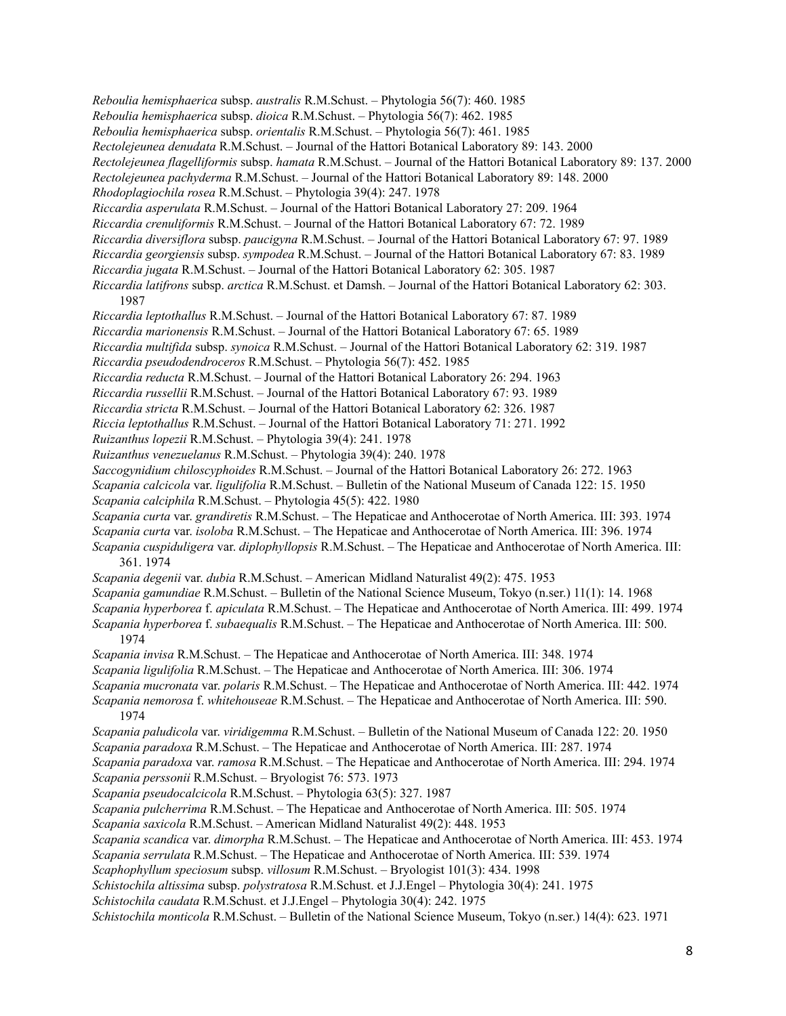*Reboulia hemisphaerica* subsp. *australis* R.M.Schust. – Phytologia 56(7): 460. 1985 *Reboulia hemisphaerica* subsp. *dioica* R.M.Schust. – Phytologia 56(7): 462. 1985 *Reboulia hemisphaerica* subsp. *orientalis* R.M.Schust. – Phytologia 56(7): 461. 1985 *Rectolejeunea denudata* R.M.Schust. – Journal of the Hattori Botanical Laboratory 89: 143. 2000 *Rectolejeunea flagelliformis* subsp. *hamata* R.M.Schust. – Journal of the Hattori Botanical Laboratory 89: 137. 2000 *Rectolejeunea pachyderma* R.M.Schust. – Journal of the Hattori Botanical Laboratory 89: 148. 2000 *Rhodoplagiochila rosea* R.M.Schust. – Phytologia 39(4): 247. 1978 *Riccardia asperulata* R.M.Schust. – Journal of the Hattori Botanical Laboratory 27: 209. 1964 *Riccardia crenuliformis* R.M.Schust. – Journal of the Hattori Botanical Laboratory 67: 72. 1989 *Riccardia diversiflora* subsp. *paucigyna* R.M.Schust. – Journal of the Hattori Botanical Laboratory 67: 97. 1989 *Riccardia georgiensis* subsp. *sympodea* R.M.Schust. – Journal of the Hattori Botanical Laboratory 67: 83. 1989 *Riccardia jugata* R.M.Schust. – Journal of the Hattori Botanical Laboratory 62: 305. 1987 *Riccardia latifrons* subsp. *arctica* R.M.Schust. et Damsh. – Journal of the Hattori Botanical Laboratory 62: 303. 1987 *Riccardia leptothallus* R.M.Schust. – Journal of the Hattori Botanical Laboratory 67: 87. 1989 *Riccardia marionensis* R.M.Schust. – Journal of the Hattori Botanical Laboratory 67: 65. 1989 *Riccardia multifida* subsp. *synoica* R.M.Schust. – Journal of the Hattori Botanical Laboratory 62: 319. 1987 *Riccardia pseudodendroceros* R.M.Schust. – Phytologia 56(7): 452. 1985 *Riccardia reducta* R.M.Schust. – Journal of the Hattori Botanical Laboratory 26: 294. 1963 *Riccardia russellii* R.M.Schust. – Journal of the Hattori Botanical Laboratory 67: 93. 1989 *Riccardia stricta* R.M.Schust. – Journal of the Hattori Botanical Laboratory 62: 326. 1987 *Riccia leptothallus* R.M.Schust. – Journal of the Hattori Botanical Laboratory 71: 271. 1992 *Ruizanthus lopezii* R.M.Schust. – Phytologia 39(4): 241. 1978 *Ruizanthus venezuelanus* R.M.Schust. – Phytologia 39(4): 240. 1978 *Saccogynidium chiloscyphoides* R.M.Schust. – Journal of the Hattori Botanical Laboratory 26: 272. 1963 *Scapania calcicola* var. *ligulifolia* R.M.Schust. – Bulletin of the National Museum of Canada 122: 15. 1950 *Scapania calciphila* R.M.Schust. – Phytologia 45(5): 422. 1980 *Scapania curta* var. *grandiretis* R.M.Schust. – The Hepaticae and Anthocerotae of North America. III: 393. 1974 *Scapania curta* var. *isoloba* R.M.Schust. – The Hepaticae and Anthocerotae of North America. III: 396. 1974 *Scapania cuspiduligera* var. *diplophyllopsis* R.M.Schust. – The Hepaticae and Anthocerotae of North America. III: 361. 1974 *Scapania degenii* var. *dubia* R.M.Schust. – American Midland Naturalist 49(2): 475. 1953 *Scapania gamundiae* R.M.Schust. – Bulletin of the National Science Museum, Tokyo (n.ser.) 11(1): 14. 1968 *Scapania hyperborea* f. *apiculata* R.M.Schust. – The Hepaticae and Anthocerotae of North America. III: 499. 1974 *Scapania hyperborea* f. *subaequalis* R.M.Schust. – The Hepaticae and Anthocerotae of North America. III: 500. 1974 *Scapania invisa* R.M.Schust. – The Hepaticae and Anthocerotae of North America. III: 348. 1974 *Scapania ligulifolia* R.M.Schust. – The Hepaticae and Anthocerotae of North America. III: 306. 1974 *Scapania mucronata* var. *polaris* R.M.Schust. – The Hepaticae and Anthocerotae of North America. III: 442. 1974 *Scapania nemorosa* f. *whitehouseae* R.M.Schust. – The Hepaticae and Anthocerotae of North America. III: 590. 1974 *Scapania paludicola* var. *viridigemma* R.M.Schust. – Bulletin of the National Museum of Canada 122: 20. 1950 *Scapania paradoxa* R.M.Schust. – The Hepaticae and Anthocerotae of North America. III: 287. 1974 *Scapania paradoxa* var. *ramosa* R.M.Schust. – The Hepaticae and Anthocerotae of North America. III: 294. 1974 *Scapania perssonii* R.M.Schust. – Bryologist 76: 573. 1973 *Scapania pseudocalcicola* R.M.Schust. – Phytologia 63(5): 327. 1987 *Scapania pulcherrima* R.M.Schust. – The Hepaticae and Anthocerotae of North America. III: 505. 1974 *Scapania saxicola* R.M.Schust. – American Midland Naturalist 49(2): 448. 1953 *Scapania scandica* var. *dimorpha* R.M.Schust. – The Hepaticae and Anthocerotae of North America. III: 453. 1974 *Scapania serrulata* R.M.Schust. – The Hepaticae and Anthocerotae of North America. III: 539. 1974 *Scaphophyllum speciosum* subsp. *villosum* R.M.Schust. – Bryologist 101(3): 434. 1998 *Schistochila altissima* subsp. *polystratosa* R.M.Schust. et J.J.Engel – Phytologia 30(4): 241. 1975 *Schistochila caudata* R.M.Schust. et J.J.Engel – Phytologia 30(4): 242. 1975 *Schistochila monticola* R.M.Schust. – Bulletin of the National Science Museum, Tokyo (n.ser.) 14(4): 623. 1971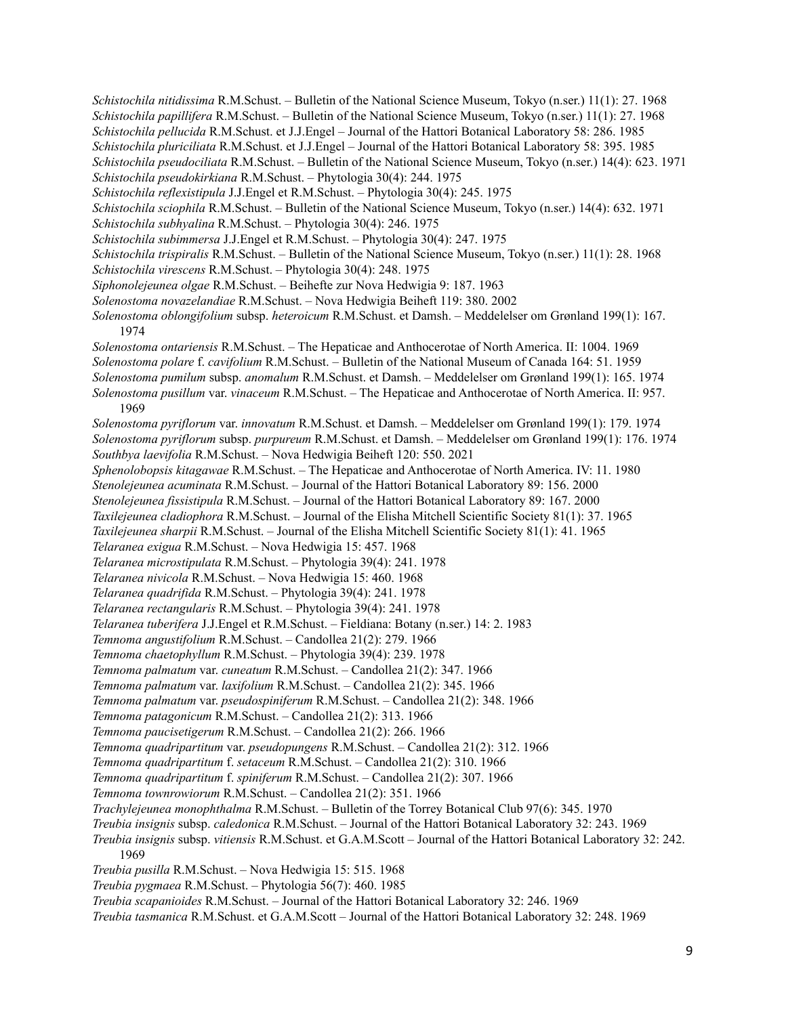*Schistochila nitidissima* R.M.Schust. – Bulletin of the National Science Museum, Tokyo (n.ser.) 11(1): 27. 1968 *Schistochila papillifera* R.M.Schust. – Bulletin of the National Science Museum, Tokyo (n.ser.) 11(1): 27. 1968 *Schistochila pellucida* R.M.Schust. et J.J.Engel – Journal of the Hattori Botanical Laboratory 58: 286. 1985 *Schistochila pluriciliata* R.M.Schust. et J.J.Engel – Journal of the Hattori Botanical Laboratory 58: 395. 1985 *Schistochila pseudociliata* R.M.Schust. – Bulletin of the National Science Museum, Tokyo (n.ser.) 14(4): 623. 1971 *Schistochila pseudokirkiana* R.M.Schust. – Phytologia 30(4): 244. 1975 *Schistochila reflexistipula* J.J.Engel et R.M.Schust. – Phytologia 30(4): 245. 1975 *Schistochila sciophila* R.M.Schust. – Bulletin of the National Science Museum, Tokyo (n.ser.) 14(4): 632. 1971 *Schistochila subhyalina* R.M.Schust. – Phytologia 30(4): 246. 1975 *Schistochila subimmersa* J.J.Engel et R.M.Schust. – Phytologia 30(4): 247. 1975 *Schistochila trispiralis* R.M.Schust. – Bulletin of the National Science Museum, Tokyo (n.ser.) 11(1): 28. 1968 *Schistochila virescens* R.M.Schust. – Phytologia 30(4): 248. 1975 *Siphonolejeunea olgae* R.M.Schust. – Beihefte zur Nova Hedwigia 9: 187. 1963 *Solenostoma novazelandiae* R.M.Schust. – Nova Hedwigia Beiheft 119: 380. 2002 *Solenostoma oblongifolium* subsp. *heteroicum* R.M.Schust. et Damsh. – Meddelelser om Grønland 199(1): 167. 1974 *Solenostoma ontariensis* R.M.Schust. – The Hepaticae and Anthocerotae of North America. II: 1004. 1969 *Solenostoma polare* f. *cavifolium* R.M.Schust. – Bulletin of the National Museum of Canada 164: 51. 1959 *Solenostoma pumilum* subsp. *anomalum* R.M.Schust. et Damsh. – Meddelelser om Grønland 199(1): 165. 1974 *Solenostoma pusillum* var. *vinaceum* R.M.Schust. – The Hepaticae and Anthocerotae of North America. II: 957. 1969 *Solenostoma pyriflorum* var. *innovatum* R.M.Schust. et Damsh. – Meddelelser om Grønland 199(1): 179. 1974 *Solenostoma pyriflorum* subsp. *purpureum* R.M.Schust. et Damsh. – Meddelelser om Grønland 199(1): 176. 1974 *Southbya laevifolia* R.M.Schust. – Nova Hedwigia Beiheft 120: 550. 2021 *Sphenolobopsis kitagawae* R.M.Schust. – The Hepaticae and Anthocerotae of North America. IV: 11. 1980 *Stenolejeunea acuminata* R.M.Schust. – Journal of the Hattori Botanical Laboratory 89: 156. 2000 *Stenolejeunea fissistipula* R.M.Schust. – Journal of the Hattori Botanical Laboratory 89: 167. 2000 *Taxilejeunea cladiophora* R.M.Schust. – Journal of the Elisha Mitchell Scientific Society 81(1): 37. 1965 *Taxilejeunea sharpii* R.M.Schust. – Journal of the Elisha Mitchell Scientific Society 81(1): 41. 1965 *Telaranea exigua* R.M.Schust. – Nova Hedwigia 15: 457. 1968 *Telaranea microstipulata* R.M.Schust. – Phytologia 39(4): 241. 1978 *Telaranea nivicola* R.M.Schust. – Nova Hedwigia 15: 460. 1968 *Telaranea quadrifida* R.M.Schust. – Phytologia 39(4): 241. 1978 *Telaranea rectangularis* R.M.Schust. – Phytologia 39(4): 241. 1978 *Telaranea tuberifera* J.J.Engel et R.M.Schust. – Fieldiana: Botany (n.ser.) 14: 2. 1983 *Temnoma angustifolium* R.M.Schust. – Candollea 21(2): 279. 1966 *Temnoma chaetophyllum* R.M.Schust. – Phytologia 39(4): 239. 1978 *Temnoma palmatum* var. *cuneatum* R.M.Schust. – Candollea 21(2): 347. 1966 *Temnoma palmatum* var. *laxifolium* R.M.Schust. – Candollea 21(2): 345. 1966 *Temnoma palmatum* var. *pseudospiniferum* R.M.Schust. – Candollea 21(2): 348. 1966 *Temnoma patagonicum* R.M.Schust. – Candollea 21(2): 313. 1966 *Temnoma paucisetigerum* R.M.Schust. – Candollea 21(2): 266. 1966 *Temnoma quadripartitum* var. *pseudopungens* R.M.Schust. – Candollea 21(2): 312. 1966 *Temnoma quadripartitum* f. *setaceum* R.M.Schust. – Candollea 21(2): 310. 1966 *Temnoma quadripartitum* f. *spiniferum* R.M.Schust. – Candollea 21(2): 307. 1966 *Temnoma townrowiorum* R.M.Schust. – Candollea 21(2): 351. 1966 *Trachylejeunea monophthalma* R.M.Schust. – Bulletin of the Torrey Botanical Club 97(6): 345. 1970 *Treubia insignis* subsp. *caledonica* R.M.Schust. – Journal of the Hattori Botanical Laboratory 32: 243. 1969 *Treubia insignis* subsp. *vitiensis* R.M.Schust. et G.A.M.Scott – Journal of the Hattori Botanical Laboratory 32: 242. 1969 *Treubia pusilla* R.M.Schust. – Nova Hedwigia 15: 515. 1968 *Treubia pygmaea* R.M.Schust. – Phytologia 56(7): 460. 1985 *Treubia scapanioides* R.M.Schust. – Journal of the Hattori Botanical Laboratory 32: 246. 1969 *Treubia tasmanica* R.M.Schust. et G.A.M.Scott – Journal of the Hattori Botanical Laboratory 32: 248. 1969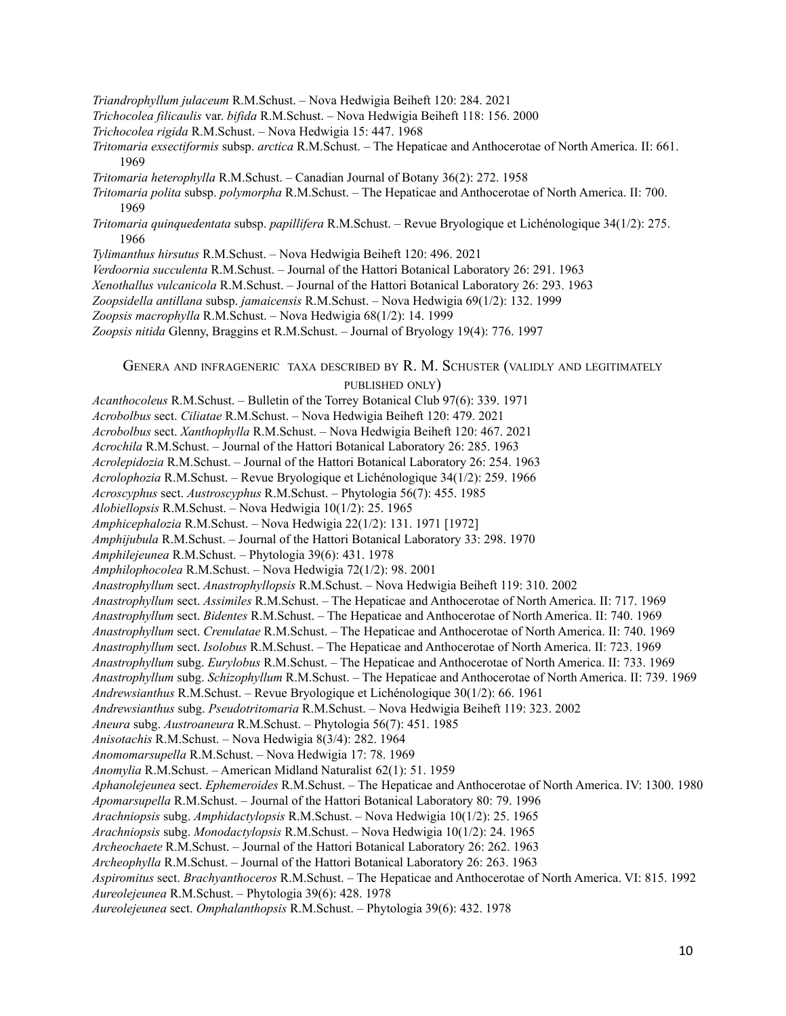- *Triandrophyllum julaceum* R.M.Schust. Nova Hedwigia Beiheft 120: 284. 2021
- *Trichocolea filicaulis* var. *bifida* R.M.Schust. Nova Hedwigia Beiheft 118: 156. 2000
- *Trichocolea rigida* R.M.Schust. Nova Hedwigia 15: 447. 1968
- *Tritomaria exsectiformis* subsp. *arctica* R.M.Schust. The Hepaticae and Anthocerotae of North America. II: 661. 1969
- *Tritomaria heterophylla* R.M.Schust. Canadian Journal of Botany 36(2): 272. 1958
- *Tritomaria polita* subsp. *polymorpha* R.M.Schust. The Hepaticae and Anthocerotae of North America. II: 700. 1969
- *Tritomaria quinquedentata* subsp. *papillifera* R.M.Schust. Revue Bryologique et Lichénologique 34(1/2): 275. 1966
- *Tylimanthus hirsutus* R.M.Schust. Nova Hedwigia Beiheft 120: 496. 2021

*Verdoornia succulenta* R.M.Schust. – Journal of the Hattori Botanical Laboratory 26: 291. 1963

*Xenothallus vulcanicola* R.M.Schust. – Journal of the Hattori Botanical Laboratory 26: 293. 1963

- *Zoopsidella antillana* subsp. *jamaicensis* R.M.Schust. Nova Hedwigia 69(1/2): 132. 1999
- *Zoopsis macrophylla* R.M.Schust. Nova Hedwigia 68(1/2): 14. 1999
- *Zoopsis nitida* Glenny, Braggins et R.M.Schust. Journal of Bryology 19(4): 776. 1997

## GENERA AND INFRAGENERIC TAXA DESCRIBED BY R. M. SCHUSTER (VALIDLY AND LEGITIMATELY

## PUBLISHED ONLY)

*Acanthocoleus* R.M.Schust. – Bulletin of the Torrey Botanical Club 97(6): 339. 1971 *Acrobolbus* sect. *Ciliatae* R.M.Schust. – Nova Hedwigia Beiheft 120: 479. 2021 *Acrobolbus* sect. *Xanthophylla* R.M.Schust. – Nova Hedwigia Beiheft 120: 467. 2021 *Acrochila* R.M.Schust. – Journal of the Hattori Botanical Laboratory 26: 285. 1963 *Acrolepidozia* R.M.Schust. – Journal of the Hattori Botanical Laboratory 26: 254. 1963 *Acrolophozia* R.M.Schust. – Revue Bryologique et Lichénologique 34(1/2): 259. 1966 *Acroscyphus* sect. *Austroscyphus* R.M.Schust. – Phytologia 56(7): 455. 1985 *Alobiellopsis* R.M.Schust. – Nova Hedwigia 10(1/2): 25. 1965 *Amphicephalozia* R.M.Schust. – Nova Hedwigia 22(1/2): 131. 1971 [1972] *Amphijubula* R.M.Schust. – Journal of the Hattori Botanical Laboratory 33: 298. 1970 *Amphilejeunea* R.M.Schust. – Phytologia 39(6): 431. 1978 *Amphilophocolea* R.M.Schust. – Nova Hedwigia 72(1/2): 98. 2001 *Anastrophyllum* sect. *Anastrophyllopsis* R.M.Schust. – Nova Hedwigia Beiheft 119: 310. 2002 *Anastrophyllum* sect. *Assimiles* R.M.Schust. – The Hepaticae and Anthocerotae of North America. II: 717. 1969 *Anastrophyllum* sect. *Bidentes* R.M.Schust. – The Hepaticae and Anthocerotae of North America. II: 740. 1969 *Anastrophyllum* sect. *Crenulatae* R.M.Schust. – The Hepaticae and Anthocerotae of North America. II: 740. 1969 *Anastrophyllum* sect. *Isolobus* R.M.Schust. – The Hepaticae and Anthocerotae of North America. II: 723. 1969 *Anastrophyllum* subg. *Eurylobus* R.M.Schust. – The Hepaticae and Anthocerotae of North America. II: 733. 1969 *Anastrophyllum* subg. *Schizophyllum* R.M.Schust. – The Hepaticae and Anthocerotae of North America. II: 739. 1969 *Andrewsianthus* R.M.Schust. – Revue Bryologique et Lichénologique 30(1/2): 66. 1961 *Andrewsianthus* subg. *Pseudotritomaria* R.M.Schust. – Nova Hedwigia Beiheft 119: 323. 2002 *Aneura* subg. *Austroaneura* R.M.Schust. – Phytologia 56(7): 451. 1985 *Anisotachis* R.M.Schust. – Nova Hedwigia 8(3/4): 282. 1964 *Anomomarsupella* R.M.Schust. – Nova Hedwigia 17: 78. 1969 *Anomylia* R.M.Schust. – American Midland Naturalist 62(1): 51. 1959 *Aphanolejeunea* sect. *Ephemeroides* R.M.Schust. – The Hepaticae and Anthocerotae of North America. IV: 1300. 1980 *Apomarsupella* R.M.Schust. – Journal of the Hattori Botanical Laboratory 80: 79. 1996 *Arachniopsis* subg. *Amphidactylopsis* R.M.Schust. – Nova Hedwigia 10(1/2): 25. 1965 *Arachniopsis* subg. *Monodactylopsis* R.M.Schust. – Nova Hedwigia 10(1/2): 24. 1965 *Archeochaete* R.M.Schust. – Journal of the Hattori Botanical Laboratory 26: 262. 1963 *Archeophylla* R.M.Schust. – Journal of the Hattori Botanical Laboratory 26: 263. 1963 *Aspiromitus* sect. *Brachyanthoceros* R.M.Schust. – The Hepaticae and Anthocerotae of North America. VI: 815. 1992 *Aureolejeunea* R.M.Schust. – Phytologia 39(6): 428. 1978 *Aureolejeunea* sect. *Omphalanthopsis* R.M.Schust. – Phytologia 39(6): 432. 1978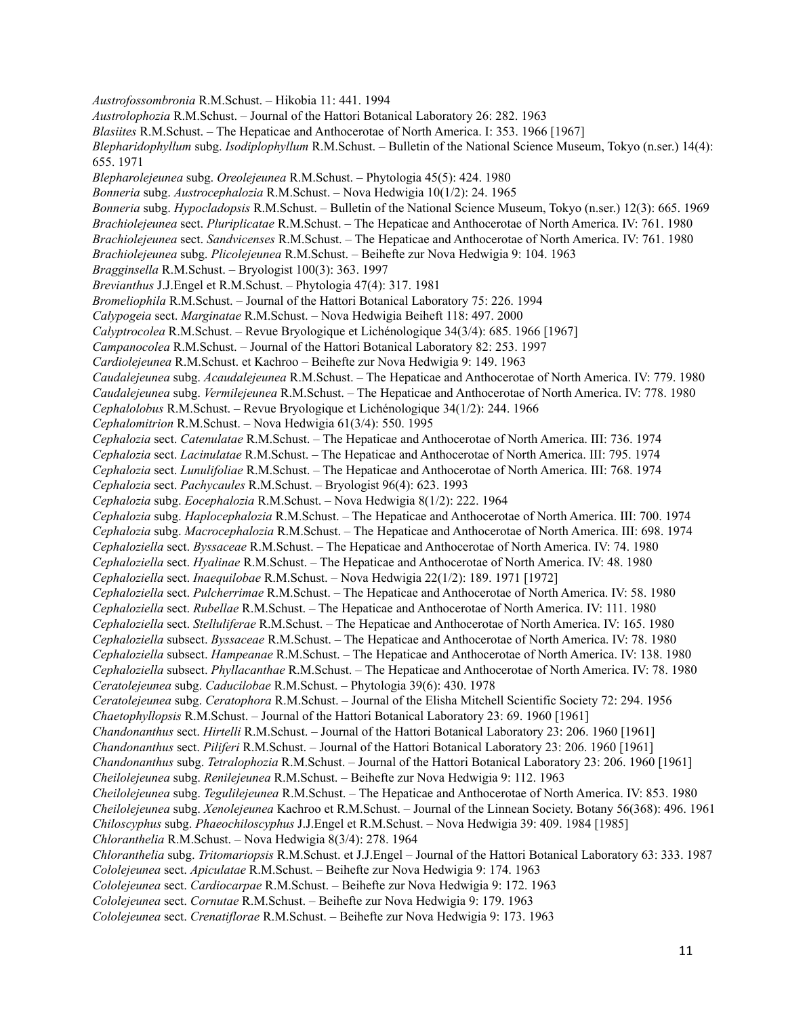*Austrofossombronia* R.M.Schust. – Hikobia 11: 441. 1994 *Austrolophozia* R.M.Schust. – Journal of the Hattori Botanical Laboratory 26: 282. 1963 *Blasiites* R.M.Schust. – The Hepaticae and Anthocerotae of North America. I: 353. 1966 [1967] *Blepharidophyllum* subg. *Isodiplophyllum* R.M.Schust. – Bulletin of the National Science Museum, Tokyo (n.ser.) 14(4): 655. 1971 *Blepharolejeunea* subg. *Oreolejeunea* R.M.Schust. – Phytologia 45(5): 424. 1980 *Bonneria* subg. *Austrocephalozia* R.M.Schust. – Nova Hedwigia 10(1/2): 24. 1965 *Bonneria* subg. *Hypocladopsis* R.M.Schust. – Bulletin of the National Science Museum, Tokyo (n.ser.) 12(3): 665. 1969 *Brachiolejeunea* sect. *Pluriplicatae* R.M.Schust. – The Hepaticae and Anthocerotae of North America. IV: 761. 1980 *Brachiolejeunea* sect. *Sandvicenses* R.M.Schust. – The Hepaticae and Anthocerotae of North America. IV: 761. 1980 *Brachiolejeunea* subg. *Plicolejeunea* R.M.Schust. – Beihefte zur Nova Hedwigia 9: 104. 1963 *Bragginsella* R.M.Schust. – Bryologist 100(3): 363. 1997 *Brevianthus* J.J.Engel et R.M.Schust. – Phytologia 47(4): 317. 1981 *Bromeliophila* R.M.Schust. – Journal of the Hattori Botanical Laboratory 75: 226. 1994 *Calypogeia* sect. *Marginatae* R.M.Schust. – Nova Hedwigia Beiheft 118: 497. 2000 *Calyptrocolea* R.M.Schust. – Revue Bryologique et Lichénologique 34(3/4): 685. 1966 [1967] *Campanocolea* R.M.Schust. – Journal of the Hattori Botanical Laboratory 82: 253. 1997 *Cardiolejeunea* R.M.Schust. et Kachroo – Beihefte zur Nova Hedwigia 9: 149. 1963 *Caudalejeunea* subg. *Acaudalejeunea* R.M.Schust. – The Hepaticae and Anthocerotae of North America. IV: 779. 1980 *Caudalejeunea* subg. *Vermilejeunea* R.M.Schust. – The Hepaticae and Anthocerotae of North America. IV: 778. 1980 *Cephalolobus* R.M.Schust. – Revue Bryologique et Lichénologique 34(1/2): 244. 1966 *Cephalomitrion* R.M.Schust. – Nova Hedwigia 61(3/4): 550. 1995 *Cephalozia* sect. *Catenulatae* R.M.Schust. – The Hepaticae and Anthocerotae of North America. III: 736. 1974 *Cephalozia* sect. *Lacinulatae* R.M.Schust. – The Hepaticae and Anthocerotae of North America. III: 795. 1974 *Cephalozia* sect. *Lunulifoliae* R.M.Schust. – The Hepaticae and Anthocerotae of North America. III: 768. 1974 *Cephalozia* sect. *Pachycaules* R.M.Schust. – Bryologist 96(4): 623. 1993 *Cephalozia* subg. *Eocephalozia* R.M.Schust. – Nova Hedwigia 8(1/2): 222. 1964 *Cephalozia* subg. *Haplocephalozia* R.M.Schust. – The Hepaticae and Anthocerotae of North America. III: 700. 1974 *Cephalozia* subg. *Macrocephalozia* R.M.Schust. – The Hepaticae and Anthocerotae of North America. III: 698. 1974 *Cephaloziella* sect. *Byssaceae* R.M.Schust. – The Hepaticae and Anthocerotae of North America. IV: 74. 1980 *Cephaloziella* sect. *Hyalinae* R.M.Schust. – The Hepaticae and Anthocerotae of North America. IV: 48. 1980 *Cephaloziella* sect. *Inaequilobae* R.M.Schust. – Nova Hedwigia 22(1/2): 189. 1971 [1972] *Cephaloziella* sect. *Pulcherrimae* R.M.Schust. – The Hepaticae and Anthocerotae of North America. IV: 58. 1980 *Cephaloziella* sect. *Rubellae* R.M.Schust. – The Hepaticae and Anthocerotae of North America. IV: 111. 1980 *Cephaloziella* sect. *Stelluliferae* R.M.Schust. – The Hepaticae and Anthocerotae of North America. IV: 165. 1980 *Cephaloziella* subsect. *Byssaceae* R.M.Schust. – The Hepaticae and Anthocerotae of North America. IV: 78. 1980 *Cephaloziella* subsect. *Hampeanae* R.M.Schust. – The Hepaticae and Anthocerotae of North America. IV: 138. 1980 *Cephaloziella* subsect. *Phyllacanthae* R.M.Schust. – The Hepaticae and Anthocerotae of North America. IV: 78. 1980 *Ceratolejeunea* subg. *Caducilobae* R.M.Schust. – Phytologia 39(6): 430. 1978 *Ceratolejeunea* subg. *Ceratophora* R.M.Schust. – Journal of the Elisha Mitchell Scientific Society 72: 294. 1956 *Chaetophyllopsis* R.M.Schust. – Journal of the Hattori Botanical Laboratory 23: 69. 1960 [1961] *Chandonanthus* sect. *Hirtelli* R.M.Schust. – Journal of the Hattori Botanical Laboratory 23: 206. 1960 [1961] *Chandonanthus* sect. *Piliferi* R.M.Schust. – Journal of the Hattori Botanical Laboratory 23: 206. 1960 [1961] *Chandonanthus* subg. *Tetralophozia* R.M.Schust. – Journal of the Hattori Botanical Laboratory 23: 206. 1960 [1961] *Cheilolejeunea* subg. *Renilejeunea* R.M.Schust. – Beihefte zur Nova Hedwigia 9: 112. 1963 *Cheilolejeunea* subg. *Tegulilejeunea* R.M.Schust. – The Hepaticae and Anthocerotae of North America. IV: 853. 1980 *Cheilolejeunea* subg. *Xenolejeunea* Kachroo et R.M.Schust. – Journal of the Linnean Society. Botany 56(368): 496. 1961 *Chiloscyphus* subg. *Phaeochiloscyphus* J.J.Engel et R.M.Schust. – Nova Hedwigia 39: 409. 1984 [1985] *Chloranthelia* R.M.Schust. – Nova Hedwigia 8(3/4): 278. 1964 *Chloranthelia* subg. *Tritomariopsis* R.M.Schust. et J.J.Engel – Journal of the Hattori Botanical Laboratory 63: 333. 1987 *Cololejeunea* sect. *Apiculatae* R.M.Schust. – Beihefte zur Nova Hedwigia 9: 174. 1963 *Cololejeunea* sect. *Cardiocarpae* R.M.Schust. – Beihefte zur Nova Hedwigia 9: 172. 1963 *Cololejeunea* sect. *Cornutae* R.M.Schust. – Beihefte zur Nova Hedwigia 9: 179. 1963 *Cololejeunea* sect. *Crenatiflorae* R.M.Schust. – Beihefte zur Nova Hedwigia 9: 173. 1963

11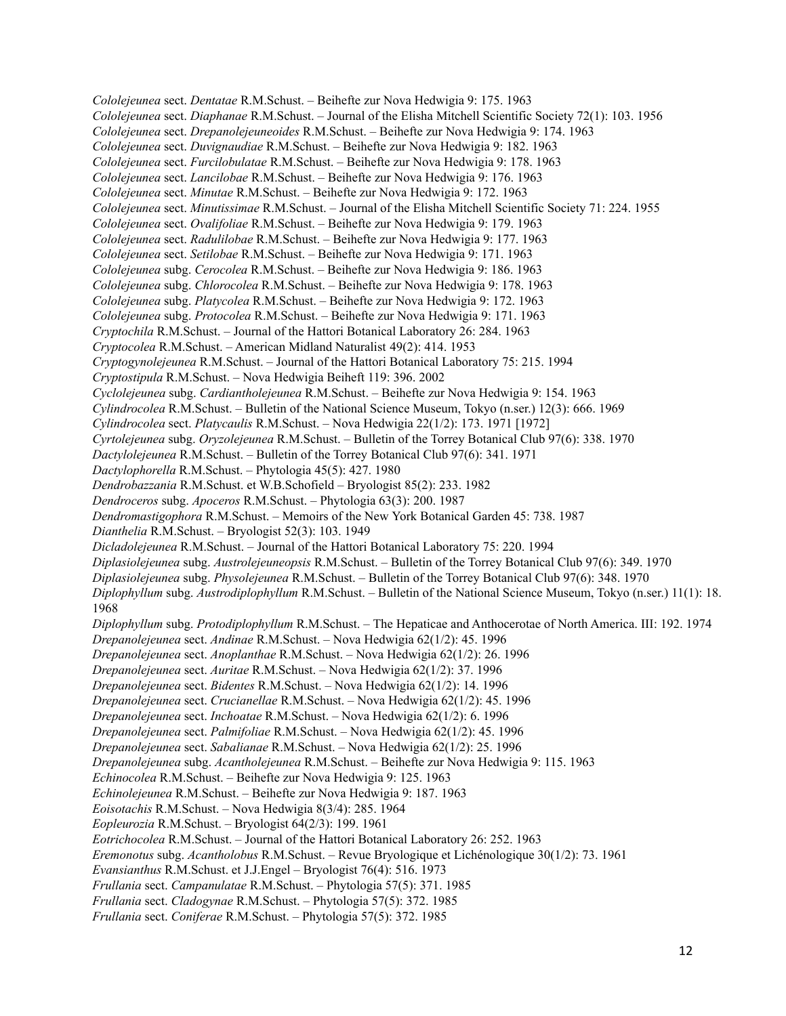*Cololejeunea* sect. *Dentatae* R.M.Schust. – Beihefte zur Nova Hedwigia 9: 175. 1963 *Cololejeunea* sect. *Diaphanae* R.M.Schust. – Journal of the Elisha Mitchell Scientific Society 72(1): 103. 1956 *Cololejeunea* sect. *Drepanolejeuneoides* R.M.Schust. – Beihefte zur Nova Hedwigia 9: 174. 1963 *Cololejeunea* sect. *Duvignaudiae* R.M.Schust. – Beihefte zur Nova Hedwigia 9: 182. 1963 *Cololejeunea* sect. *Furcilobulatae* R.M.Schust. – Beihefte zur Nova Hedwigia 9: 178. 1963 *Cololejeunea* sect. *Lancilobae* R.M.Schust. – Beihefte zur Nova Hedwigia 9: 176. 1963 *Cololejeunea* sect. *Minutae* R.M.Schust. – Beihefte zur Nova Hedwigia 9: 172. 1963 *Cololejeunea* sect. *Minutissimae* R.M.Schust. – Journal of the Elisha Mitchell Scientific Society 71: 224. 1955 *Cololejeunea* sect. *Ovalifoliae* R.M.Schust. – Beihefte zur Nova Hedwigia 9: 179. 1963 *Cololejeunea* sect. *Radulilobae* R.M.Schust. – Beihefte zur Nova Hedwigia 9: 177. 1963 *Cololejeunea* sect. *Setilobae* R.M.Schust. – Beihefte zur Nova Hedwigia 9: 171. 1963 *Cololejeunea* subg. *Cerocolea* R.M.Schust. – Beihefte zur Nova Hedwigia 9: 186. 1963 *Cololejeunea* subg. *Chlorocolea* R.M.Schust. – Beihefte zur Nova Hedwigia 9: 178. 1963 *Cololejeunea* subg. *Platycolea* R.M.Schust. – Beihefte zur Nova Hedwigia 9: 172. 1963 *Cololejeunea* subg. *Protocolea* R.M.Schust. – Beihefte zur Nova Hedwigia 9: 171. 1963 *Cryptochila* R.M.Schust. – Journal of the Hattori Botanical Laboratory 26: 284. 1963 *Cryptocolea* R.M.Schust. – American Midland Naturalist 49(2): 414. 1953 *Cryptogynolejeunea* R.M.Schust. – Journal of the Hattori Botanical Laboratory 75: 215. 1994 *Cryptostipula* R.M.Schust. – Nova Hedwigia Beiheft 119: 396. 2002 *Cyclolejeunea* subg. *Cardiantholejeunea* R.M.Schust. – Beihefte zur Nova Hedwigia 9: 154. 1963 *Cylindrocolea* R.M.Schust. – Bulletin of the National Science Museum, Tokyo (n.ser.) 12(3): 666. 1969 *Cylindrocolea* sect. *Platycaulis* R.M.Schust. – Nova Hedwigia 22(1/2): 173. 1971 [1972] *Cyrtolejeunea* subg. *Oryzolejeunea* R.M.Schust. – Bulletin of the Torrey Botanical Club 97(6): 338. 1970 *Dactylolejeunea* R.M.Schust. – Bulletin of the Torrey Botanical Club 97(6): 341. 1971 *Dactylophorella* R.M.Schust. – Phytologia 45(5): 427. 1980 *Dendrobazzania* R.M.Schust. et W.B.Schofield – Bryologist 85(2): 233. 1982 *Dendroceros* subg. *Apoceros* R.M.Schust. – Phytologia 63(3): 200. 1987 *Dendromastigophora* R.M.Schust. – Memoirs of the New York Botanical Garden 45: 738. 1987 *Dianthelia* R.M.Schust. – Bryologist 52(3): 103. 1949 *Dicladolejeunea* R.M.Schust. – Journal of the Hattori Botanical Laboratory 75: 220. 1994 *Diplasiolejeunea* subg. *Austrolejeuneopsis* R.M.Schust. – Bulletin of the Torrey Botanical Club 97(6): 349. 1970 *Diplasiolejeunea* subg. *Physolejeunea* R.M.Schust. – Bulletin of the Torrey Botanical Club 97(6): 348. 1970 *Diplophyllum* subg. *Austrodiplophyllum* R.M.Schust. – Bulletin of the National Science Museum, Tokyo (n.ser.) 11(1): 18. 1968 *Diplophyllum* subg. *Protodiplophyllum* R.M.Schust. – The Hepaticae and Anthocerotae of North America. III: 192. 1974 *Drepanolejeunea* sect. *Andinae* R.M.Schust. – Nova Hedwigia 62(1/2): 45. 1996 *Drepanolejeunea* sect. *Anoplanthae* R.M.Schust. – Nova Hedwigia 62(1/2): 26. 1996 *Drepanolejeunea* sect. *Auritae* R.M.Schust. – Nova Hedwigia 62(1/2): 37. 1996 *Drepanolejeunea* sect. *Bidentes* R.M.Schust. – Nova Hedwigia 62(1/2): 14. 1996 *Drepanolejeunea* sect. *Crucianellae* R.M.Schust. – Nova Hedwigia 62(1/2): 45. 1996 *Drepanolejeunea* sect. *Inchoatae* R.M.Schust. – Nova Hedwigia 62(1/2): 6. 1996 *Drepanolejeunea* sect. *Palmifoliae* R.M.Schust. – Nova Hedwigia 62(1/2): 45. 1996 *Drepanolejeunea* sect. *Sabalianae* R.M.Schust. – Nova Hedwigia 62(1/2): 25. 1996 *Drepanolejeunea* subg. *Acantholejeunea* R.M.Schust. – Beihefte zur Nova Hedwigia 9: 115. 1963 *Echinocolea* R.M.Schust. – Beihefte zur Nova Hedwigia 9: 125. 1963 *Echinolejeunea* R.M.Schust. – Beihefte zur Nova Hedwigia 9: 187. 1963 *Eoisotachis* R.M.Schust. – Nova Hedwigia 8(3/4): 285. 1964 *Eopleurozia* R.M.Schust. – Bryologist 64(2/3): 199. 1961 *Eotrichocolea* R.M.Schust. – Journal of the Hattori Botanical Laboratory 26: 252. 1963 *Eremonotus* subg. *Acantholobus* R.M.Schust. – Revue Bryologique et Lichénologique 30(1/2): 73. 1961 *Evansianthus* R.M.Schust. et J.J.Engel – Bryologist 76(4): 516. 1973 *Frullania* sect. *Campanulatae* R.M.Schust. – Phytologia 57(5): 371. 1985 *Frullania* sect. *Cladogynae* R.M.Schust. – Phytologia 57(5): 372. 1985 *Frullania* sect. *Coniferae* R.M.Schust. – Phytologia 57(5): 372. 1985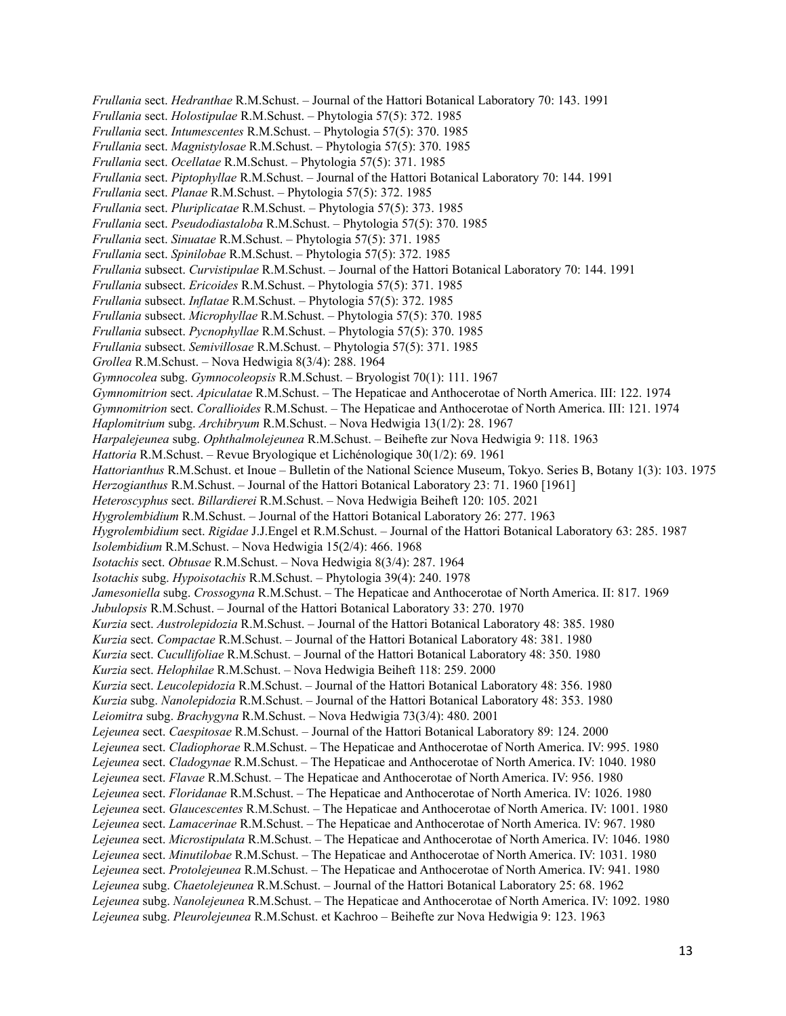*Frullania* sect. *Hedranthae* R.M.Schust. – Journal of the Hattori Botanical Laboratory 70: 143. 1991 *Frullania* sect. *Holostipulae* R.M.Schust. – Phytologia 57(5): 372. 1985 *Frullania* sect. *Intumescentes* R.M.Schust. – Phytologia 57(5): 370. 1985 *Frullania* sect. *Magnistylosae* R.M.Schust. – Phytologia 57(5): 370. 1985 *Frullania* sect. *Ocellatae* R.M.Schust. – Phytologia 57(5): 371. 1985 *Frullania* sect. *Piptophyllae* R.M.Schust. – Journal of the Hattori Botanical Laboratory 70: 144. 1991 *Frullania* sect. *Planae* R.M.Schust. – Phytologia 57(5): 372. 1985 *Frullania* sect. *Pluriplicatae* R.M.Schust. – Phytologia 57(5): 373. 1985 *Frullania* sect. *Pseudodiastaloba* R.M.Schust. – Phytologia 57(5): 370. 1985 *Frullania* sect. *Sinuatae* R.M.Schust. – Phytologia 57(5): 371. 1985 *Frullania* sect. *Spinilobae* R.M.Schust. – Phytologia 57(5): 372. 1985 *Frullania* subsect. *Curvistipulae* R.M.Schust. – Journal of the Hattori Botanical Laboratory 70: 144. 1991 *Frullania* subsect. *Ericoides* R.M.Schust. – Phytologia 57(5): 371. 1985 *Frullania* subsect. *Inflatae* R.M.Schust. – Phytologia 57(5): 372. 1985 *Frullania* subsect. *Microphyllae* R.M.Schust. – Phytologia 57(5): 370. 1985 *Frullania* subsect. *Pycnophyllae* R.M.Schust. – Phytologia 57(5): 370. 1985 *Frullania* subsect. *Semivillosae* R.M.Schust. – Phytologia 57(5): 371. 1985 *Grollea* R.M.Schust. – Nova Hedwigia 8(3/4): 288. 1964 *Gymnocolea* subg. *Gymnocoleopsis* R.M.Schust. – Bryologist 70(1): 111. 1967 *Gymnomitrion* sect. *Apiculatae* R.M.Schust. – The Hepaticae and Anthocerotae of North America. III: 122. 1974 *Gymnomitrion* sect. *Corallioides* R.M.Schust. – The Hepaticae and Anthocerotae of North America. III: 121. 1974 *Haplomitrium* subg. *Archibryum* R.M.Schust. – Nova Hedwigia 13(1/2): 28. 1967 *Harpalejeunea* subg. *Ophthalmolejeunea* R.M.Schust. – Beihefte zur Nova Hedwigia 9: 118. 1963 *Hattoria* R.M.Schust. – Revue Bryologique et Lichénologique 30(1/2): 69. 1961 *Hattorianthus* R.M.Schust. et Inoue – Bulletin of the National Science Museum, Tokyo. Series B, Botany 1(3): 103. 1975 *Herzogianthus* R.M.Schust. – Journal of the Hattori Botanical Laboratory 23: 71. 1960 [1961] *Heteroscyphus* sect. *Billardierei* R.M.Schust. – Nova Hedwigia Beiheft 120: 105. 2021 *Hygrolembidium* R.M.Schust. – Journal of the Hattori Botanical Laboratory 26: 277. 1963 *Hygrolembidium* sect. *Rigidae* J.J.Engel et R.M.Schust. – Journal of the Hattori Botanical Laboratory 63: 285. 1987 *Isolembidium* R.M.Schust. – Nova Hedwigia 15(2/4): 466. 1968 *Isotachis* sect. *Obtusae* R.M.Schust. – Nova Hedwigia 8(3/4): 287. 1964 *Isotachis* subg. *Hypoisotachis* R.M.Schust. – Phytologia 39(4): 240. 1978 *Jamesoniella* subg. *Crossogyna* R.M.Schust. – The Hepaticae and Anthocerotae of North America. II: 817. 1969 *Jubulopsis* R.M.Schust. – Journal of the Hattori Botanical Laboratory 33: 270. 1970 *Kurzia* sect. *Austrolepidozia* R.M.Schust. – Journal of the Hattori Botanical Laboratory 48: 385. 1980 *Kurzia* sect. *Compactae* R.M.Schust. – Journal of the Hattori Botanical Laboratory 48: 381. 1980 *Kurzia* sect. *Cucullifoliae* R.M.Schust. – Journal of the Hattori Botanical Laboratory 48: 350. 1980 *Kurzia* sect. *Helophilae* R.M.Schust. – Nova Hedwigia Beiheft 118: 259. 2000 *Kurzia* sect. *Leucolepidozia* R.M.Schust. – Journal of the Hattori Botanical Laboratory 48: 356. 1980 *Kurzia* subg. *Nanolepidozia* R.M.Schust. – Journal of the Hattori Botanical Laboratory 48: 353. 1980 *Leiomitra* subg. *Brachygyna* R.M.Schust. – Nova Hedwigia 73(3/4): 480. 2001 *Lejeunea* sect. *Caespitosae* R.M.Schust. – Journal of the Hattori Botanical Laboratory 89: 124. 2000 *Lejeunea* sect. *Cladiophorae* R.M.Schust. – The Hepaticae and Anthocerotae of North America. IV: 995. 1980 *Lejeunea* sect. *Cladogynae* R.M.Schust. – The Hepaticae and Anthocerotae of North America. IV: 1040. 1980 *Lejeunea* sect. *Flavae* R.M.Schust. – The Hepaticae and Anthocerotae of North America. IV: 956. 1980 *Lejeunea* sect. *Floridanae* R.M.Schust. – The Hepaticae and Anthocerotae of North America. IV: 1026. 1980 *Lejeunea* sect. *Glaucescentes* R.M.Schust. – The Hepaticae and Anthocerotae of North America. IV: 1001. 1980 *Lejeunea* sect. *Lamacerinae* R.M.Schust. – The Hepaticae and Anthocerotae of North America. IV: 967. 1980 *Lejeunea* sect. *Microstipulata* R.M.Schust. – The Hepaticae and Anthocerotae of North America. IV: 1046. 1980 *Lejeunea* sect. *Minutilobae* R.M.Schust. – The Hepaticae and Anthocerotae of North America. IV: 1031. 1980 *Lejeunea* sect. *Protolejeunea* R.M.Schust. – The Hepaticae and Anthocerotae of North America. IV: 941. 1980 *Lejeunea* subg. *Chaetolejeunea* R.M.Schust. – Journal of the Hattori Botanical Laboratory 25: 68. 1962 *Lejeunea* subg. *Nanolejeunea* R.M.Schust. – The Hepaticae and Anthocerotae of North America. IV: 1092. 1980 *Lejeunea* subg. *Pleurolejeunea* R.M.Schust. et Kachroo – Beihefte zur Nova Hedwigia 9: 123. 1963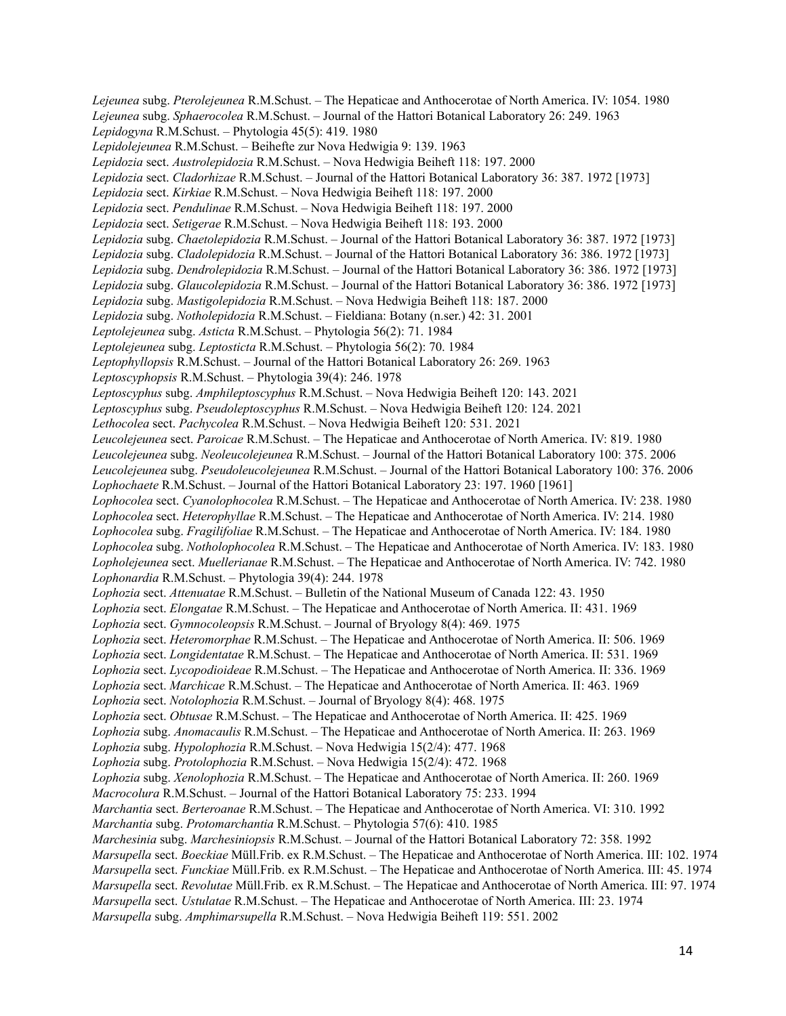*Lejeunea* subg. *Pterolejeunea* R.M.Schust. – The Hepaticae and Anthocerotae of North America. IV: 1054. 1980 *Lejeunea* subg. *Sphaerocolea* R.M.Schust. – Journal of the Hattori Botanical Laboratory 26: 249. 1963 *Lepidogyna* R.M.Schust. – Phytologia 45(5): 419. 1980 *Lepidolejeunea* R.M.Schust. – Beihefte zur Nova Hedwigia 9: 139. 1963 *Lepidozia* sect. *Austrolepidozia* R.M.Schust. – Nova Hedwigia Beiheft 118: 197. 2000 *Lepidozia* sect. *Cladorhizae* R.M.Schust. – Journal of the Hattori Botanical Laboratory 36: 387. 1972 [1973] *Lepidozia* sect. *Kirkiae* R.M.Schust. – Nova Hedwigia Beiheft 118: 197. 2000 *Lepidozia* sect. *Pendulinae* R.M.Schust. – Nova Hedwigia Beiheft 118: 197. 2000 *Lepidozia* sect. *Setigerae* R.M.Schust. – Nova Hedwigia Beiheft 118: 193. 2000 *Lepidozia* subg. *Chaetolepidozia* R.M.Schust. – Journal of the Hattori Botanical Laboratory 36: 387. 1972 [1973] *Lepidozia* subg. *Cladolepidozia* R.M.Schust. – Journal of the Hattori Botanical Laboratory 36: 386. 1972 [1973] *Lepidozia* subg. *Dendrolepidozia* R.M.Schust. – Journal of the Hattori Botanical Laboratory 36: 386. 1972 [1973] *Lepidozia* subg. *Glaucolepidozia* R.M.Schust. – Journal of the Hattori Botanical Laboratory 36: 386. 1972 [1973] *Lepidozia* subg. *Mastigolepidozia* R.M.Schust. – Nova Hedwigia Beiheft 118: 187. 2000 *Lepidozia* subg. *Notholepidozia* R.M.Schust. – Fieldiana: Botany (n.ser.) 42: 31. 2001 *Leptolejeunea* subg. *Asticta* R.M.Schust. – Phytologia 56(2): 71. 1984 *Leptolejeunea* subg. *Leptosticta* R.M.Schust. – Phytologia 56(2): 70. 1984 *Leptophyllopsis* R.M.Schust. – Journal of the Hattori Botanical Laboratory 26: 269. 1963 *Leptoscyphopsis* R.M.Schust. – Phytologia 39(4): 246. 1978 *Leptoscyphus* subg. *Amphileptoscyphus* R.M.Schust. – Nova Hedwigia Beiheft 120: 143. 2021 *Leptoscyphus* subg. *Pseudoleptoscyphus* R.M.Schust. – Nova Hedwigia Beiheft 120: 124. 2021 *Lethocolea* sect. *Pachycolea* R.M.Schust. – Nova Hedwigia Beiheft 120: 531. 2021 *Leucolejeunea* sect. *Paroicae* R.M.Schust. – The Hepaticae and Anthocerotae of North America. IV: 819. 1980 *Leucolejeunea* subg. *Neoleucolejeunea* R.M.Schust. – Journal of the Hattori Botanical Laboratory 100: 375. 2006 *Leucolejeunea* subg. *Pseudoleucolejeunea* R.M.Schust. – Journal of the Hattori Botanical Laboratory 100: 376. 2006 *Lophochaete* R.M.Schust. – Journal of the Hattori Botanical Laboratory 23: 197. 1960 [1961] *Lophocolea* sect. *Cyanolophocolea* R.M.Schust. – The Hepaticae and Anthocerotae of North America. IV: 238. 1980 *Lophocolea* sect. *Heterophyllae* R.M.Schust. – The Hepaticae and Anthocerotae of North America. IV: 214. 1980 *Lophocolea* subg. *Fragilifoliae* R.M.Schust. – The Hepaticae and Anthocerotae of North America. IV: 184. 1980 *Lophocolea* subg. *Notholophocolea* R.M.Schust. – The Hepaticae and Anthocerotae of North America. IV: 183. 1980 *Lopholejeunea* sect. *Muellerianae* R.M.Schust. – The Hepaticae and Anthocerotae of North America. IV: 742. 1980 *Lophonardia* R.M.Schust. – Phytologia 39(4): 244. 1978 *Lophozia* sect. *Attenuatae* R.M.Schust. – Bulletin of the National Museum of Canada 122: 43. 1950 *Lophozia* sect. *Elongatae* R.M.Schust. – The Hepaticae and Anthocerotae of North America. II: 431. 1969 *Lophozia* sect. *Gymnocoleopsis* R.M.Schust. – Journal of Bryology 8(4): 469. 1975 *Lophozia* sect. *Heteromorphae* R.M.Schust. – The Hepaticae and Anthocerotae of North America. II: 506. 1969 *Lophozia* sect. *Longidentatae* R.M.Schust. – The Hepaticae and Anthocerotae of North America. II: 531. 1969 *Lophozia* sect. *Lycopodioideae* R.M.Schust. – The Hepaticae and Anthocerotae of North America. II: 336. 1969 *Lophozia* sect. *Marchicae* R.M.Schust. – The Hepaticae and Anthocerotae of North America. II: 463. 1969 *Lophozia* sect. *Notolophozia* R.M.Schust. – Journal of Bryology 8(4): 468. 1975 *Lophozia* sect. *Obtusae* R.M.Schust. – The Hepaticae and Anthocerotae of North America. II: 425. 1969 *Lophozia* subg. *Anomacaulis* R.M.Schust. – The Hepaticae and Anthocerotae of North America. II: 263. 1969 *Lophozia* subg. *Hypolophozia* R.M.Schust. – Nova Hedwigia 15(2/4): 477. 1968 *Lophozia* subg. *Protolophozia* R.M.Schust. – Nova Hedwigia 15(2/4): 472. 1968 *Lophozia* subg. *Xenolophozia* R.M.Schust. – The Hepaticae and Anthocerotae of North America. II: 260. 1969 *Macrocolura* R.M.Schust. – Journal of the Hattori Botanical Laboratory 75: 233. 1994 *Marchantia* sect. *Berteroanae* R.M.Schust. – The Hepaticae and Anthocerotae of North America. VI: 310. 1992 *Marchantia* subg. *Protomarchantia* R.M.Schust. – Phytologia 57(6): 410. 1985 *Marchesinia* subg. *Marchesiniopsis* R.M.Schust. – Journal of the Hattori Botanical Laboratory 72: 358. 1992 *Marsupella* sect. *Boeckiae* Müll.Frib. ex R.M.Schust. – The Hepaticae and Anthocerotae of North America. III: 102. 1974 *Marsupella* sect. *Funckiae* Müll.Frib. ex R.M.Schust. – The Hepaticae and Anthocerotae of North America. III: 45. 1974 *Marsupella* sect. *Revolutae* Müll.Frib. ex R.M.Schust. – The Hepaticae and Anthocerotae of North America. III: 97. 1974 *Marsupella* sect. *Ustulatae* R.M.Schust. – The Hepaticae and Anthocerotae of North America. III: 23. 1974 *Marsupella* subg. *Amphimarsupella* R.M.Schust. – Nova Hedwigia Beiheft 119: 551. 2002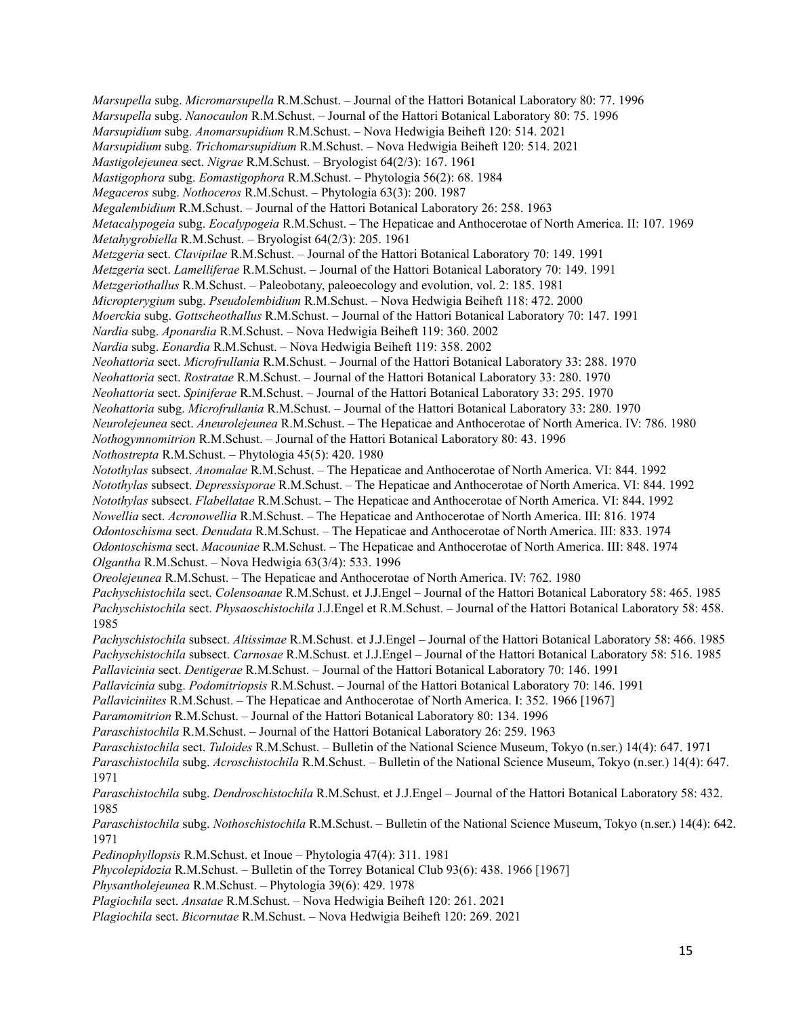*Marsupella* subg. *Micromarsupella* R.M.Schust. – Journal of the Hattori Botanical Laboratory 80: 77. 1996 *Marsupella* subg. *Nanocaulon* R.M.Schust. – Journal of the Hattori Botanical Laboratory 80: 75. 1996 *Marsupidium* subg. *Anomarsupidium* R.M.Schust. – Nova Hedwigia Beiheft 120: 514. 2021 *Marsupidium* subg. *Trichomarsupidium* R.M.Schust. – Nova Hedwigia Beiheft 120: 514. 2021 *Mastigolejeunea* sect. *Nigrae* R.M.Schust. – Bryologist 64(2/3): 167. 1961 *Mastigophora* subg. *Eomastigophora* R.M.Schust. – Phytologia 56(2): 68. 1984 *Megaceros* subg. *Nothoceros* R.M.Schust. – Phytologia 63(3): 200. 1987 *Megalembidium* R.M.Schust. – Journal of the Hattori Botanical Laboratory 26: 258. 1963 *Metacalypogeia* subg. *Eocalypogeia* R.M.Schust. – The Hepaticae and Anthocerotae of North America. II: 107. 1969 *Metahygrobiella* R.M.Schust. – Bryologist 64(2/3): 205. 1961 *Metzgeria* sect. *Clavipilae* R.M.Schust. – Journal of the Hattori Botanical Laboratory 70: 149. 1991 *Metzgeria* sect. *Lamelliferae* R.M.Schust. – Journal of the Hattori Botanical Laboratory 70: 149. 1991 *Metzgeriothallus* R.M.Schust. – Paleobotany, paleoecology and evolution, vol. 2: 185. 1981 *Micropterygium* subg. *Pseudolembidium* R.M.Schust. – Nova Hedwigia Beiheft 118: 472. 2000 *Moerckia* subg. *Gottscheothallus* R.M.Schust. – Journal of the Hattori Botanical Laboratory 70: 147. 1991 *Nardia* subg. *Aponardia* R.M.Schust. – Nova Hedwigia Beiheft 119: 360. 2002 *Nardia* subg. *Eonardia* R.M.Schust. – Nova Hedwigia Beiheft 119: 358. 2002 *Neohattoria* sect. *Microfrullania* R.M.Schust. – Journal of the Hattori Botanical Laboratory 33: 288. 1970 *Neohattoria* sect. *Rostratae* R.M.Schust. – Journal of the Hattori Botanical Laboratory 33: 280. 1970 *Neohattoria* sect. *Spiniferae* R.M.Schust. – Journal of the Hattori Botanical Laboratory 33: 295. 1970 *Neohattoria* subg. *Microfrullania* R.M.Schust. – Journal of the Hattori Botanical Laboratory 33: 280. 1970 *Neurolejeunea* sect. *Aneurolejeunea* R.M.Schust. – The Hepaticae and Anthocerotae of North America. IV: 786. 1980 *Nothogymnomitrion* R.M.Schust. – Journal of the Hattori Botanical Laboratory 80: 43. 1996 *Nothostrepta* R.M.Schust. – Phytologia 45(5): 420. 1980 *Notothylas* subsect. *Anomalae* R.M.Schust. – The Hepaticae and Anthocerotae of North America. VI: 844. 1992 *Notothylas* subsect. *Depressisporae* R.M.Schust. – The Hepaticae and Anthocerotae of North America. VI: 844. 1992 *Notothylas* subsect. *Flabellatae* R.M.Schust. – The Hepaticae and Anthocerotae of North America. VI: 844. 1992 *Nowellia* sect. *Acronowellia* R.M.Schust. – The Hepaticae and Anthocerotae of North America. III: 816. 1974 *Odontoschisma* sect. *Denudata* R.M.Schust. – The Hepaticae and Anthocerotae of North America. III: 833. 1974 *Odontoschisma* sect. *Macouniae* R.M.Schust. – The Hepaticae and Anthocerotae of North America. III: 848. 1974 *Olgantha* R.M.Schust. – Nova Hedwigia 63(3/4): 533. 1996 *Oreolejeunea* R.M.Schust. – The Hepaticae and Anthocerotae of North America. IV: 762. 1980 *Pachyschistochila* sect. *Colensoanae* R.M.Schust. et J.J.Engel – Journal of the Hattori Botanical Laboratory 58: 465. 1985 *Pachyschistochila* sect. *Physaoschistochila* J.J.Engel et R.M.Schust. – Journal of the Hattori Botanical Laboratory 58: 458. 1985 *Pachyschistochila* subsect. *Altissimae* R.M.Schust. et J.J.Engel – Journal of the Hattori Botanical Laboratory 58: 466. 1985 *Pachyschistochila* subsect. *Carnosae* R.M.Schust. et J.J.Engel – Journal of the Hattori Botanical Laboratory 58: 516. 1985 *Pallavicinia* sect. *Dentigerae* R.M.Schust. – Journal of the Hattori Botanical Laboratory 70: 146. 1991 *Pallavicinia* subg. *Podomitriopsis* R.M.Schust. – Journal of the Hattori Botanical Laboratory 70: 146. 1991 *Pallaviciniites* R.M.Schust. – The Hepaticae and Anthocerotae of North America. I: 352. 1966 [1967] *Paramomitrion* R.M.Schust. – Journal of the Hattori Botanical Laboratory 80: 134. 1996 *Paraschistochila* R.M.Schust. – Journal of the Hattori Botanical Laboratory 26: 259. 1963 *Paraschistochila* sect. *Tuloides* R.M.Schust. – Bulletin of the National Science Museum, Tokyo (n.ser.) 14(4): 647. 1971 *Paraschistochila* subg. *Acroschistochila* R.M.Schust. – Bulletin of the National Science Museum, Tokyo (n.ser.) 14(4): 647. 1971 *Paraschistochila* subg. *Dendroschistochila* R.M.Schust. et J.J.Engel – Journal of the Hattori Botanical Laboratory 58: 432. 1985 *Paraschistochila* subg. *Nothoschistochila* R.M.Schust. – Bulletin of the National Science Museum, Tokyo (n.ser.) 14(4): 642. 1971 *Pedinophyllopsis* R.M.Schust. et Inoue – Phytologia 47(4): 311. 1981 *Phycolepidozia* R.M.Schust. – Bulletin of the Torrey Botanical Club 93(6): 438. 1966 [1967] *Physantholejeunea* R.M.Schust. – Phytologia 39(6): 429. 1978 *Plagiochila* sect. *Ansatae* R.M.Schust. – Nova Hedwigia Beiheft 120: 261. 2021 *Plagiochila* sect. *Bicornutae* R.M.Schust. – Nova Hedwigia Beiheft 120: 269. 2021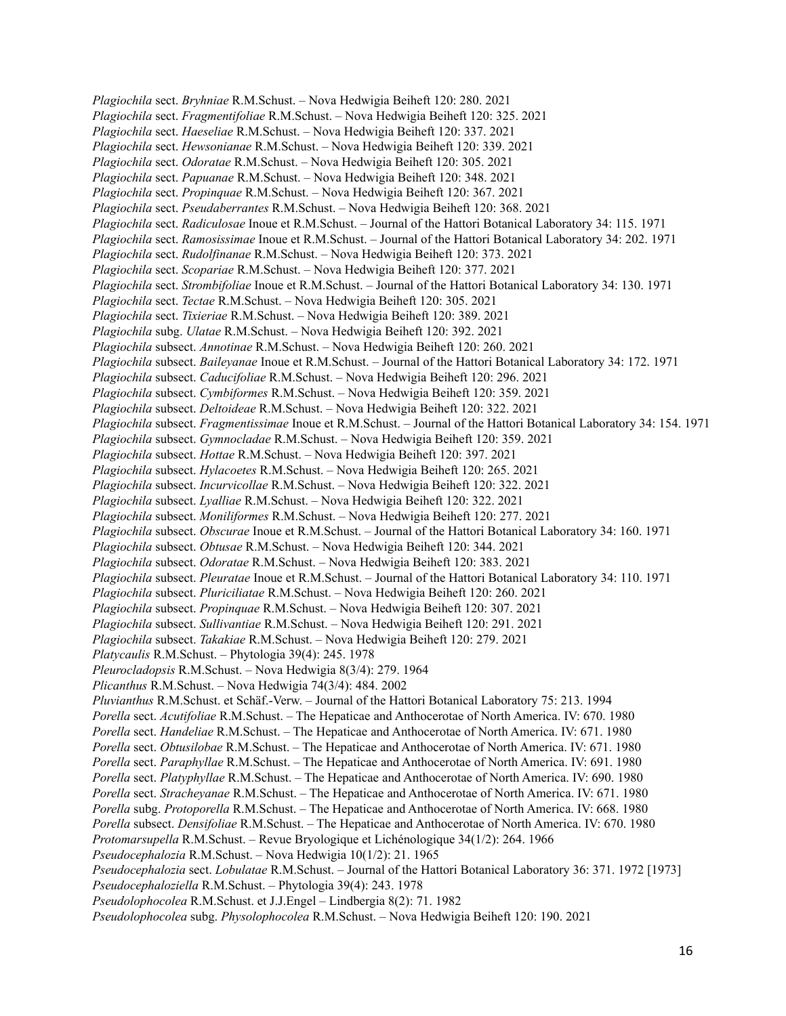*Plagiochila* sect. *Bryhniae* R.M.Schust. – Nova Hedwigia Beiheft 120: 280. 2021 *Plagiochila* sect. *Fragmentifoliae* R.M.Schust. – Nova Hedwigia Beiheft 120: 325. 2021 *Plagiochila* sect. *Haeseliae* R.M.Schust. – Nova Hedwigia Beiheft 120: 337. 2021 *Plagiochila* sect. *Hewsonianae* R.M.Schust. – Nova Hedwigia Beiheft 120: 339. 2021 *Plagiochila* sect. *Odoratae* R.M.Schust. – Nova Hedwigia Beiheft 120: 305. 2021 *Plagiochila* sect. *Papuanae* R.M.Schust. – Nova Hedwigia Beiheft 120: 348. 2021 *Plagiochila* sect. *Propinquae* R.M.Schust. – Nova Hedwigia Beiheft 120: 367. 2021 *Plagiochila* sect. *Pseudaberrantes* R.M.Schust. – Nova Hedwigia Beiheft 120: 368. 2021 *Plagiochila* sect. *Radiculosae* Inoue et R.M.Schust. – Journal of the Hattori Botanical Laboratory 34: 115. 1971 *Plagiochila* sect. *Ramosissimae* Inoue et R.M.Schust. – Journal of the Hattori Botanical Laboratory 34: 202. 1971 *Plagiochila* sect. *Rudolfinanae* R.M.Schust. – Nova Hedwigia Beiheft 120: 373. 2021 *Plagiochila* sect. *Scopariae* R.M.Schust. – Nova Hedwigia Beiheft 120: 377. 2021 *Plagiochila* sect. *Strombifoliae* Inoue et R.M.Schust. – Journal of the Hattori Botanical Laboratory 34: 130. 1971 *Plagiochila* sect. *Tectae* R.M.Schust. – Nova Hedwigia Beiheft 120: 305. 2021 *Plagiochila* sect. *Tixieriae* R.M.Schust. – Nova Hedwigia Beiheft 120: 389. 2021 *Plagiochila* subg. *Ulatae* R.M.Schust. – Nova Hedwigia Beiheft 120: 392. 2021 *Plagiochila* subsect. *Annotinae* R.M.Schust. – Nova Hedwigia Beiheft 120: 260. 2021 *Plagiochila* subsect. *Baileyanae* Inoue et R.M.Schust. – Journal of the Hattori Botanical Laboratory 34: 172. 1971 *Plagiochila* subsect. *Caducifoliae* R.M.Schust. – Nova Hedwigia Beiheft 120: 296. 2021 *Plagiochila* subsect. *Cymbiformes* R.M.Schust. – Nova Hedwigia Beiheft 120: 359. 2021 *Plagiochila* subsect. *Deltoideae* R.M.Schust. – Nova Hedwigia Beiheft 120: 322. 2021 *Plagiochila* subsect. *Fragmentissimae* Inoue et R.M.Schust. – Journal of the Hattori Botanical Laboratory 34: 154. 1971 *Plagiochila* subsect. *Gymnocladae* R.M.Schust. – Nova Hedwigia Beiheft 120: 359. 2021 *Plagiochila* subsect. *Hottae* R.M.Schust. – Nova Hedwigia Beiheft 120: 397. 2021 *Plagiochila* subsect. *Hylacoetes* R.M.Schust. – Nova Hedwigia Beiheft 120: 265. 2021 *Plagiochila* subsect. *Incurvicollae* R.M.Schust. – Nova Hedwigia Beiheft 120: 322. 2021 *Plagiochila* subsect. *Lyalliae* R.M.Schust. – Nova Hedwigia Beiheft 120: 322. 2021 *Plagiochila* subsect. *Moniliformes* R.M.Schust. – Nova Hedwigia Beiheft 120: 277. 2021 *Plagiochila* subsect. *Obscurae* Inoue et R.M.Schust. – Journal of the Hattori Botanical Laboratory 34: 160. 1971 *Plagiochila* subsect. *Obtusae* R.M.Schust. – Nova Hedwigia Beiheft 120: 344. 2021 *Plagiochila* subsect. *Odoratae* R.M.Schust. – Nova Hedwigia Beiheft 120: 383. 2021 *Plagiochila* subsect. *Pleuratae* Inoue et R.M.Schust. – Journal of the Hattori Botanical Laboratory 34: 110. 1971 *Plagiochila* subsect. *Pluriciliatae* R.M.Schust. – Nova Hedwigia Beiheft 120: 260. 2021 *Plagiochila* subsect. *Propinquae* R.M.Schust. – Nova Hedwigia Beiheft 120: 307. 2021 *Plagiochila* subsect. *Sullivantiae* R.M.Schust. – Nova Hedwigia Beiheft 120: 291. 2021 *Plagiochila* subsect. *Takakiae* R.M.Schust. – Nova Hedwigia Beiheft 120: 279. 2021 *Platycaulis* R.M.Schust. – Phytologia 39(4): 245. 1978 *Pleurocladopsis* R.M.Schust. – Nova Hedwigia 8(3/4): 279. 1964 *Plicanthus* R.M.Schust. – Nova Hedwigia 74(3/4): 484. 2002 *Pluvianthus* R.M.Schust. et Schäf.-Verw. – Journal of the Hattori Botanical Laboratory 75: 213. 1994 *Porella* sect. *Acutifoliae* R.M.Schust. – The Hepaticae and Anthocerotae of North America. IV: 670. 1980 *Porella* sect. *Handeliae* R.M.Schust. – The Hepaticae and Anthocerotae of North America. IV: 671. 1980 *Porella* sect. *Obtusilobae* R.M.Schust. – The Hepaticae and Anthocerotae of North America. IV: 671. 1980 *Porella* sect. *Paraphyllae* R.M.Schust. – The Hepaticae and Anthocerotae of North America. IV: 691. 1980 *Porella* sect. *Platyphyllae* R.M.Schust. – The Hepaticae and Anthocerotae of North America. IV: 690. 1980 *Porella* sect. *Stracheyanae* R.M.Schust. – The Hepaticae and Anthocerotae of North America. IV: 671. 1980 *Porella* subg. *Protoporella* R.M.Schust. – The Hepaticae and Anthocerotae of North America. IV: 668. 1980 *Porella* subsect. *Densifoliae* R.M.Schust. – The Hepaticae and Anthocerotae of North America. IV: 670. 1980 *Protomarsupella* R.M.Schust. – Revue Bryologique et Lichénologique 34(1/2): 264. 1966 *Pseudocephalozia* R.M.Schust. – Nova Hedwigia 10(1/2): 21. 1965 *Pseudocephalozia* sect. *Lobulatae* R.M.Schust. – Journal of the Hattori Botanical Laboratory 36: 371. 1972 [1973] *Pseudocephaloziella* R.M.Schust. – Phytologia 39(4): 243. 1978 *Pseudolophocolea* R.M.Schust. et J.J.Engel – Lindbergia 8(2): 71. 1982 *Pseudolophocolea* subg. *Physolophocolea* R.M.Schust. – Nova Hedwigia Beiheft 120: 190. 2021

16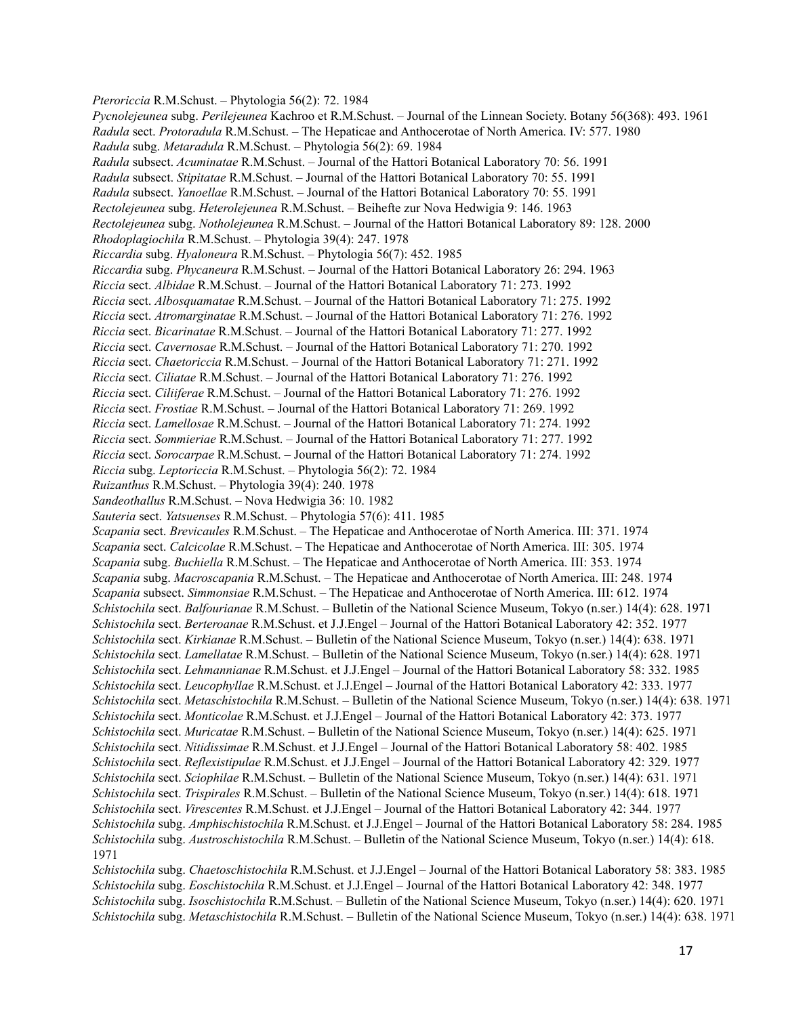*Pteroriccia* R.M.Schust. – Phytologia 56(2): 72. 1984 *Pycnolejeunea* subg. *Perilejeunea* Kachroo et R.M.Schust. – Journal of the Linnean Society. Botany 56(368): 493. 1961 *Radula* sect. *Protoradula* R.M.Schust. – The Hepaticae and Anthocerotae of North America. IV: 577. 1980 *Radula* subg. *Metaradula* R.M.Schust. – Phytologia 56(2): 69. 1984 *Radula* subsect. *Acuminatae* R.M.Schust. – Journal of the Hattori Botanical Laboratory 70: 56. 1991 *Radula* subsect. *Stipitatae* R.M.Schust. – Journal of the Hattori Botanical Laboratory 70: 55. 1991 *Radula* subsect. *Yanoellae* R.M.Schust. – Journal of the Hattori Botanical Laboratory 70: 55. 1991 *Rectolejeunea* subg. *Heterolejeunea* R.M.Schust. – Beihefte zur Nova Hedwigia 9: 146. 1963 *Rectolejeunea* subg. *Notholejeunea* R.M.Schust. – Journal of the Hattori Botanical Laboratory 89: 128. 2000 *Rhodoplagiochila* R.M.Schust. – Phytologia 39(4): 247. 1978 *Riccardia* subg. *Hyaloneura* R.M.Schust. – Phytologia 56(7): 452. 1985 *Riccardia* subg. *Phycaneura* R.M.Schust. – Journal of the Hattori Botanical Laboratory 26: 294. 1963 *Riccia* sect. *Albidae* R.M.Schust. – Journal of the Hattori Botanical Laboratory 71: 273. 1992 *Riccia* sect. *Albosquamatae* R.M.Schust. – Journal of the Hattori Botanical Laboratory 71: 275. 1992 *Riccia* sect. *Atromarginatae* R.M.Schust. – Journal of the Hattori Botanical Laboratory 71: 276. 1992 *Riccia* sect. *Bicarinatae* R.M.Schust. – Journal of the Hattori Botanical Laboratory 71: 277. 1992 *Riccia* sect. *Cavernosae* R.M.Schust. – Journal of the Hattori Botanical Laboratory 71: 270. 1992 *Riccia* sect. *Chaetoriccia* R.M.Schust. – Journal of the Hattori Botanical Laboratory 71: 271. 1992 *Riccia* sect. *Ciliatae* R.M.Schust. – Journal of the Hattori Botanical Laboratory 71: 276. 1992 *Riccia* sect. *Ciliiferae* R.M.Schust. – Journal of the Hattori Botanical Laboratory 71: 276. 1992 *Riccia* sect. *Frostiae* R.M.Schust. – Journal of the Hattori Botanical Laboratory 71: 269. 1992 *Riccia* sect. *Lamellosae* R.M.Schust. – Journal of the Hattori Botanical Laboratory 71: 274. 1992 *Riccia* sect. *Sommieriae* R.M.Schust. – Journal of the Hattori Botanical Laboratory 71: 277. 1992 *Riccia* sect. *Sorocarpae* R.M.Schust. – Journal of the Hattori Botanical Laboratory 71: 274. 1992 *Riccia* subg. *Leptoriccia* R.M.Schust. – Phytologia 56(2): 72. 1984 *Ruizanthus* R.M.Schust. – Phytologia 39(4): 240. 1978 *Sandeothallus* R.M.Schust. – Nova Hedwigia 36: 10. 1982 *Sauteria* sect. *Yatsuenses* R.M.Schust. – Phytologia 57(6): 411. 1985 *Scapania* sect. *Brevicaules* R.M.Schust. – The Hepaticae and Anthocerotae of North America. III: 371. 1974 *Scapania* sect. *Calcicolae* R.M.Schust. – The Hepaticae and Anthocerotae of North America. III: 305. 1974 *Scapania* subg. *Buchiella* R.M.Schust. – The Hepaticae and Anthocerotae of North America. III: 353. 1974 *Scapania* subg. *Macroscapania* R.M.Schust. – The Hepaticae and Anthocerotae of North America. III: 248. 1974 *Scapania* subsect. *Simmonsiae* R.M.Schust. – The Hepaticae and Anthocerotae of North America. III: 612. 1974 *Schistochila* sect. *Balfourianae* R.M.Schust. – Bulletin of the National Science Museum, Tokyo (n.ser.) 14(4): 628. 1971 *Schistochila* sect. *Berteroanae* R.M.Schust. et J.J.Engel – Journal of the Hattori Botanical Laboratory 42: 352. 1977 *Schistochila* sect. *Kirkianae* R.M.Schust. – Bulletin of the National Science Museum, Tokyo (n.ser.) 14(4): 638. 1971 *Schistochila* sect. *Lamellatae* R.M.Schust. – Bulletin of the National Science Museum, Tokyo (n.ser.) 14(4): 628. 1971 *Schistochila* sect. *Lehmannianae* R.M.Schust. et J.J.Engel – Journal of the Hattori Botanical Laboratory 58: 332. 1985 *Schistochila* sect. *Leucophyllae* R.M.Schust. et J.J.Engel – Journal of the Hattori Botanical Laboratory 42: 333. 1977 *Schistochila* sect. *Metaschistochila* R.M.Schust. – Bulletin of the National Science Museum, Tokyo (n.ser.) 14(4): 638. 1971 *Schistochila* sect. *Monticolae* R.M.Schust. et J.J.Engel – Journal of the Hattori Botanical Laboratory 42: 373. 1977 *Schistochila* sect. *Muricatae* R.M.Schust. – Bulletin of the National Science Museum, Tokyo (n.ser.) 14(4): 625. 1971 *Schistochila* sect. *Nitidissimae* R.M.Schust. et J.J.Engel – Journal of the Hattori Botanical Laboratory 58: 402. 1985 *Schistochila* sect. *Reflexistipulae* R.M.Schust. et J.J.Engel – Journal of the Hattori Botanical Laboratory 42: 329. 1977 *Schistochila* sect. *Sciophilae* R.M.Schust. – Bulletin of the National Science Museum, Tokyo (n.ser.) 14(4): 631. 1971 *Schistochila* sect. *Trispirales* R.M.Schust. – Bulletin of the National Science Museum, Tokyo (n.ser.) 14(4): 618. 1971 *Schistochila* sect. *Virescentes* R.M.Schust. et J.J.Engel – Journal of the Hattori Botanical Laboratory 42: 344. 1977 *Schistochila* subg. *Amphischistochila* R.M.Schust. et J.J.Engel – Journal of the Hattori Botanical Laboratory 58: 284. 1985 *Schistochila* subg. *Austroschistochila* R.M.Schust. – Bulletin of the National Science Museum, Tokyo (n.ser.) 14(4): 618. 1971 *Schistochila* subg. *Chaetoschistochila* R.M.Schust. et J.J.Engel – Journal of the Hattori Botanical Laboratory 58: 383. 1985

*Schistochila* subg. *Eoschistochila* R.M.Schust. et J.J.Engel – Journal of the Hattori Botanical Laboratory 42: 348. 1977 *Schistochila* subg. *Isoschistochila* R.M.Schust. – Bulletin of the National Science Museum, Tokyo (n.ser.) 14(4): 620. 1971 *Schistochila* subg. *Metaschistochila* R.M.Schust. – Bulletin of the National Science Museum, Tokyo (n.ser.) 14(4): 638. 1971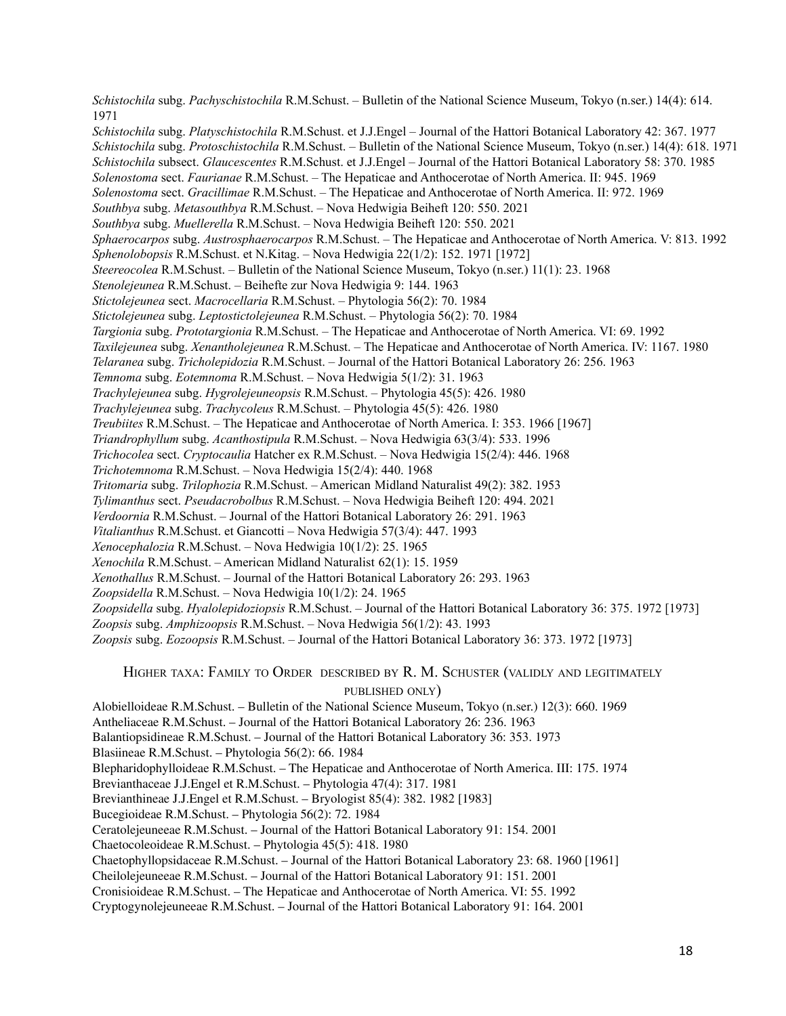*Schistochila* subg. *Pachyschistochila* R.M.Schust. – Bulletin of the National Science Museum, Tokyo (n.ser.) 14(4): 614. 1971 *Schistochila* subg. *Platyschistochila* R.M.Schust. et J.J.Engel – Journal of the Hattori Botanical Laboratory 42: 367. 1977 *Schistochila* subg. *Protoschistochila* R.M.Schust. – Bulletin of the National Science Museum, Tokyo (n.ser.) 14(4): 618. 1971 *Schistochila* subsect. *Glaucescentes* R.M.Schust. et J.J.Engel – Journal of the Hattori Botanical Laboratory 58: 370. 1985 *Solenostoma* sect. *Faurianae* R.M.Schust. – The Hepaticae and Anthocerotae of North America. II: 945. 1969 *Solenostoma* sect. *Gracillimae* R.M.Schust. – The Hepaticae and Anthocerotae of North America. II: 972. 1969 *Southbya* subg. *Metasouthbya* R.M.Schust. – Nova Hedwigia Beiheft 120: 550. 2021 *Southbya* subg. *Muellerella* R.M.Schust. – Nova Hedwigia Beiheft 120: 550. 2021 *Sphaerocarpos* subg. *Austrosphaerocarpos* R.M.Schust. – The Hepaticae and Anthocerotae of North America. V: 813. 1992 *Sphenolobopsis* R.M.Schust. et N.Kitag. – Nova Hedwigia 22(1/2): 152. 1971 [1972] *Steereocolea* R.M.Schust. – Bulletin of the National Science Museum, Tokyo (n.ser.) 11(1): 23. 1968 *Stenolejeunea* R.M.Schust. – Beihefte zur Nova Hedwigia 9: 144. 1963 *Stictolejeunea* sect. *Macrocellaria* R.M.Schust. – Phytologia 56(2): 70. 1984 *Stictolejeunea* subg. *Leptostictolejeunea* R.M.Schust. – Phytologia 56(2): 70. 1984 *Targionia* subg. *Prototargionia* R.M.Schust. – The Hepaticae and Anthocerotae of North America. VI: 69. 1992 *Taxilejeunea* subg. *Xenantholejeunea* R.M.Schust. – The Hepaticae and Anthocerotae of North America. IV: 1167. 1980 *Telaranea* subg. *Tricholepidozia* R.M.Schust. – Journal of the Hattori Botanical Laboratory 26: 256. 1963 *Temnoma* subg. *Eotemnoma* R.M.Schust. – Nova Hedwigia 5(1/2): 31. 1963 *Trachylejeunea* subg. *Hygrolejeuneopsis* R.M.Schust. – Phytologia 45(5): 426. 1980 *Trachylejeunea* subg. *Trachycoleus* R.M.Schust. – Phytologia 45(5): 426. 1980 *Treubiites* R.M.Schust. – The Hepaticae and Anthocerotae of North America. I: 353. 1966 [1967] *Triandrophyllum* subg. *Acanthostipula* R.M.Schust. – Nova Hedwigia 63(3/4): 533. 1996 *Trichocolea* sect. *Cryptocaulia* Hatcher ex R.M.Schust. – Nova Hedwigia 15(2/4): 446. 1968 *Trichotemnoma* R.M.Schust. – Nova Hedwigia 15(2/4): 440. 1968 *Tritomaria* subg. *Trilophozia* R.M.Schust. – American Midland Naturalist 49(2): 382. 1953 *Tylimanthus* sect. *Pseudacrobolbus* R.M.Schust. – Nova Hedwigia Beiheft 120: 494. 2021 *Verdoornia* R.M.Schust. – Journal of the Hattori Botanical Laboratory 26: 291. 1963 *Vitalianthus* R.M.Schust. et Giancotti – Nova Hedwigia 57(3/4): 447. 1993 *Xenocephalozia* R.M.Schust. – Nova Hedwigia 10(1/2): 25. 1965 *Xenochila* R.M.Schust. – American Midland Naturalist 62(1): 15. 1959 *Xenothallus* R.M.Schust. – Journal of the Hattori Botanical Laboratory 26: 293. 1963 *Zoopsidella* R.M.Schust. – Nova Hedwigia 10(1/2): 24. 1965 *Zoopsidella* subg. *Hyalolepidoziopsis* R.M.Schust. – Journal of the Hattori Botanical Laboratory 36: 375. 1972 [1973] *Zoopsis* subg. *Amphizoopsis* R.M.Schust. – Nova Hedwigia 56(1/2): 43. 1993 *Zoopsis* subg. *Eozoopsis* R.M.Schust. – Journal of the Hattori Botanical Laboratory 36: 373. 1972 [1973]

HIGHER TAXA: FAMILY TO ORDER DESCRIBED BY R. M. SCHUSTER (VALIDLY AND LEGITIMATELY PUBLISHED ONLY)

Alobielloideae R.M.Schust. – Bulletin of the National Science Museum, Tokyo (n.ser.) 12(3): 660. 1969 Antheliaceae R.M.Schust. – Journal of the Hattori Botanical Laboratory 26: 236. 1963 Balantiopsidineae R.M.Schust. – Journal of the Hattori Botanical Laboratory 36: 353. 1973 Blasiineae R.M.Schust. – Phytologia 56(2): 66. 1984 Blepharidophylloideae R.M.Schust. – The Hepaticae and Anthocerotae of North America. III: 175. 1974 Brevianthaceae J.J.Engel et R.M.Schust. – Phytologia 47(4): 317. 1981 Brevianthineae J.J.Engel et R.M.Schust. – Bryologist 85(4): 382. 1982 [1983] Bucegioideae R.M.Schust. – Phytologia 56(2): 72. 1984 Ceratolejeuneeae R.M.Schust. – Journal of the Hattori Botanical Laboratory 91: 154. 2001 Chaetocoleoideae R.M.Schust. – Phytologia 45(5): 418. 1980 Chaetophyllopsidaceae R.M.Schust. – Journal of the Hattori Botanical Laboratory 23: 68. 1960 [1961] Cheilolejeuneeae R.M.Schust. – Journal of the Hattori Botanical Laboratory 91: 151. 2001 Cronisioideae R.M.Schust. – The Hepaticae and Anthocerotae of North America. VI: 55. 1992 Cryptogynolejeuneeae R.M.Schust. – Journal of the Hattori Botanical Laboratory 91: 164. 2001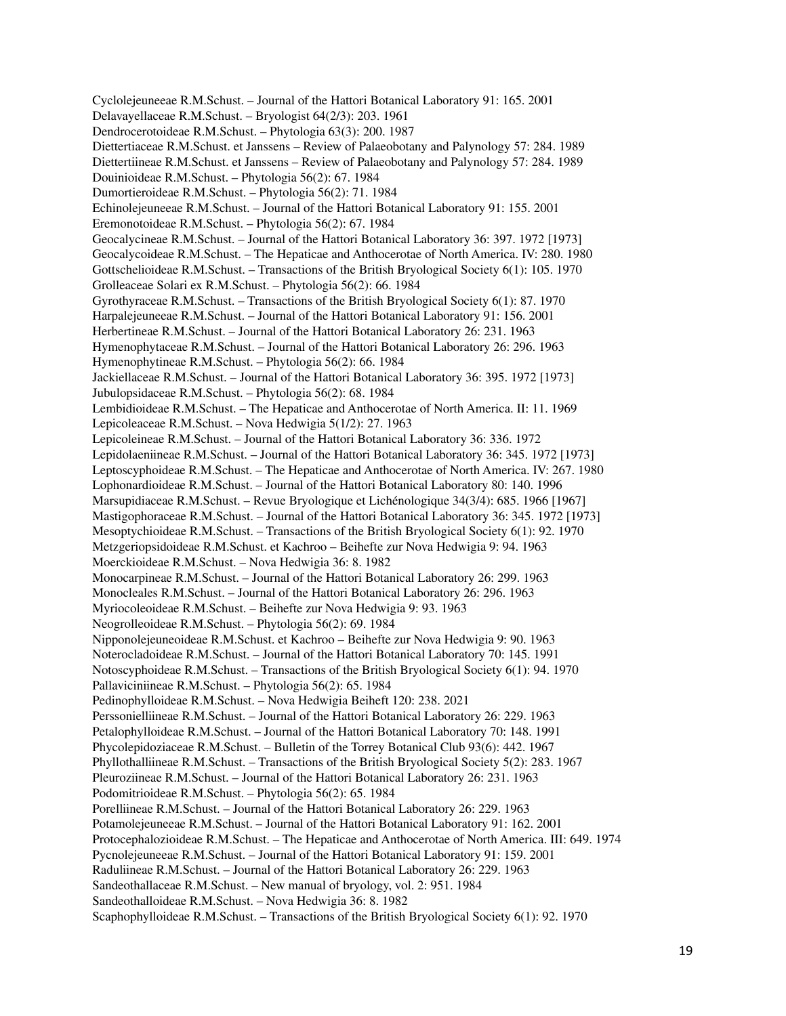Cyclolejeuneeae R.M.Schust. – Journal of the Hattori Botanical Laboratory 91: 165. 2001 Delavayellaceae R.M.Schust. – Bryologist 64(2/3): 203. 1961 Dendrocerotoideae R.M.Schust. – Phytologia 63(3): 200. 1987 Diettertiaceae R.M.Schust. et Janssens – Review of Palaeobotany and Palynology 57: 284. 1989 Diettertiineae R.M.Schust. et Janssens – Review of Palaeobotany and Palynology 57: 284. 1989 Douinioideae R.M.Schust. – Phytologia 56(2): 67. 1984 Dumortieroideae R.M.Schust. – Phytologia 56(2): 71. 1984 Echinolejeuneeae R.M.Schust. – Journal of the Hattori Botanical Laboratory 91: 155. 2001 Eremonotoideae R.M.Schust. – Phytologia 56(2): 67. 1984 Geocalycineae R.M.Schust. – Journal of the Hattori Botanical Laboratory 36: 397. 1972 [1973] Geocalycoideae R.M.Schust. – The Hepaticae and Anthocerotae of North America. IV: 280. 1980 Gottschelioideae R.M.Schust. – Transactions of the British Bryological Society 6(1): 105. 1970 Grolleaceae Solari ex R.M.Schust. – Phytologia 56(2): 66. 1984 Gyrothyraceae R.M.Schust. – Transactions of the British Bryological Society 6(1): 87. 1970 Harpalejeuneeae R.M.Schust. – Journal of the Hattori Botanical Laboratory 91: 156. 2001 Herbertineae R.M.Schust. – Journal of the Hattori Botanical Laboratory 26: 231. 1963 Hymenophytaceae R.M.Schust. – Journal of the Hattori Botanical Laboratory 26: 296. 1963 Hymenophytineae R.M.Schust. – Phytologia 56(2): 66. 1984 Jackiellaceae R.M.Schust. – Journal of the Hattori Botanical Laboratory 36: 395. 1972 [1973] Jubulopsidaceae R.M.Schust. – Phytologia 56(2): 68. 1984 Lembidioideae R.M.Schust. – The Hepaticae and Anthocerotae of North America. II: 11. 1969 Lepicoleaceae R.M.Schust. – Nova Hedwigia 5(1/2): 27. 1963 Lepicoleineae R.M.Schust. – Journal of the Hattori Botanical Laboratory 36: 336. 1972 Lepidolaeniineae R.M.Schust. – Journal of the Hattori Botanical Laboratory 36: 345. 1972 [1973] Leptoscyphoideae R.M.Schust. – The Hepaticae and Anthocerotae of North America. IV: 267. 1980 Lophonardioideae R.M.Schust. – Journal of the Hattori Botanical Laboratory 80: 140. 1996 Marsupidiaceae R.M.Schust. – Revue Bryologique et Lichénologique 34(3/4): 685. 1966 [1967] Mastigophoraceae R.M.Schust. – Journal of the Hattori Botanical Laboratory 36: 345. 1972 [1973] Mesoptychioideae R.M.Schust. – Transactions of the British Bryological Society 6(1): 92. 1970 Metzgeriopsidoideae R.M.Schust. et Kachroo – Beihefte zur Nova Hedwigia 9: 94. 1963 Moerckioideae R.M.Schust. – Nova Hedwigia 36: 8. 1982 Monocarpineae R.M.Schust. – Journal of the Hattori Botanical Laboratory 26: 299. 1963 Monocleales R.M.Schust. – Journal of the Hattori Botanical Laboratory 26: 296. 1963 Myriocoleoideae R.M.Schust. – Beihefte zur Nova Hedwigia 9: 93. 1963 Neogrolleoideae R.M.Schust. – Phytologia 56(2): 69. 1984 Nipponolejeuneoideae R.M.Schust. et Kachroo – Beihefte zur Nova Hedwigia 9: 90. 1963 Noterocladoideae R.M.Schust. – Journal of the Hattori Botanical Laboratory 70: 145. 1991 Notoscyphoideae R.M.Schust. – Transactions of the British Bryological Society 6(1): 94. 1970 Pallaviciniineae R.M.Schust. – Phytologia 56(2): 65. 1984 Pedinophylloideae R.M.Schust. – Nova Hedwigia Beiheft 120: 238. 2021 Perssonielliineae R.M.Schust. – Journal of the Hattori Botanical Laboratory 26: 229. 1963 Petalophylloideae R.M.Schust. – Journal of the Hattori Botanical Laboratory 70: 148. 1991 Phycolepidoziaceae R.M.Schust. – Bulletin of the Torrey Botanical Club 93(6): 442. 1967 Phyllothalliineae R.M.Schust. – Transactions of the British Bryological Society 5(2): 283. 1967 Pleuroziineae R.M.Schust. – Journal of the Hattori Botanical Laboratory 26: 231. 1963 Podomitrioideae R.M.Schust. – Phytologia 56(2): 65. 1984 Porelliineae R.M.Schust. – Journal of the Hattori Botanical Laboratory 26: 229. 1963 Potamolejeuneeae R.M.Schust. – Journal of the Hattori Botanical Laboratory 91: 162. 2001 Protocephalozioideae R.M.Schust. – The Hepaticae and Anthocerotae of North America. III: 649. 1974 Pycnolejeuneeae R.M.Schust. – Journal of the Hattori Botanical Laboratory 91: 159. 2001 Raduliineae R.M.Schust. – Journal of the Hattori Botanical Laboratory 26: 229. 1963 Sandeothallaceae R.M.Schust. – New manual of bryology, vol. 2: 951. 1984 Sandeothalloideae R.M.Schust. – Nova Hedwigia 36: 8. 1982 Scaphophylloideae R.M.Schust. – Transactions of the British Bryological Society 6(1): 92. 1970